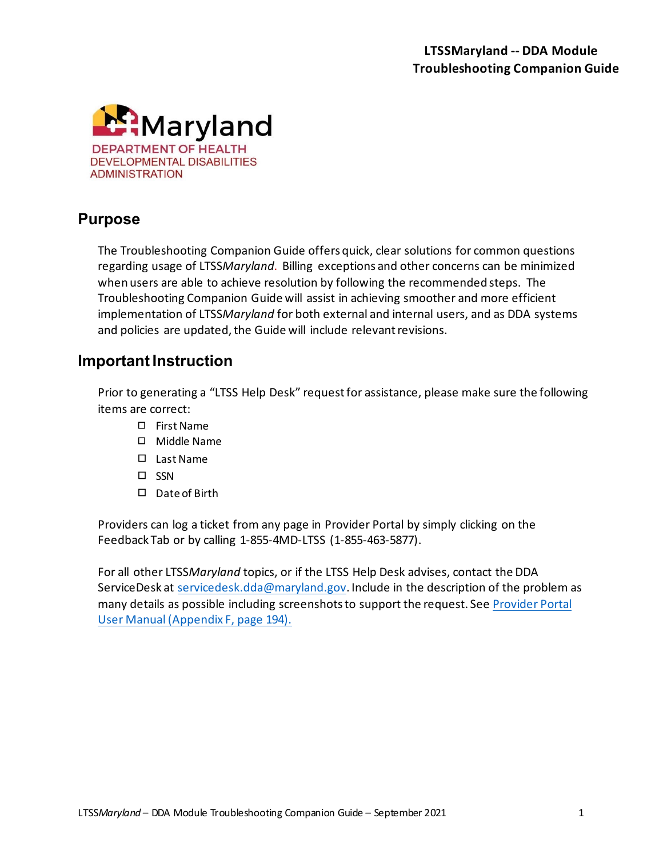

### **Purpose**

The Troubleshooting Companion Guide offers quick, clear solutions for common questions regarding usage of LTSS*Maryland.* Billing exceptions and other concerns can be minimized when users are able to achieve resolution by following the recommended steps. The Troubleshooting Companion Guide will assist in achieving smoother and more efficient implementation of LTSS*Maryland* for both external and internal users, and as DDA systems and policies are updated, the Guide will include relevant revisions.

#### **Important Instruction**

Prior to generating a "LTSS Help Desk" request for assistance, please make sure the following items are correct:

- ◻ First Name
- ◻ Middle Name
- ◻ Last Name
- ◻ SSN
- ◻ Date of Birth

Providers can log a ticket from any page in Provider Portal by simply clicking on the Feedback Tab or by calling 1-855-4MD-LTSS (1-855-463-5877).

For all other LTSS*Maryland* topics, or if the LTSS Help Desk advises, contact the DDA ServiceDesk at [servicedesk.dda@maryland.gov.](mailto:servicedesk.dda@maryland.gov) Include in the description of the problem as many details as possible including screenshots to support the request. Se[e Provider Portal](https://12a6a653-2e3e-306f-213b-bf0e65339a09.filesusr.com/ugd/467101_1e257840c1ea495aa0dcabd8ae9cdd4d.pdf)  [User Manual \(Appendix F, page 194\).](https://12a6a653-2e3e-306f-213b-bf0e65339a09.filesusr.com/ugd/467101_1e257840c1ea495aa0dcabd8ae9cdd4d.pdf)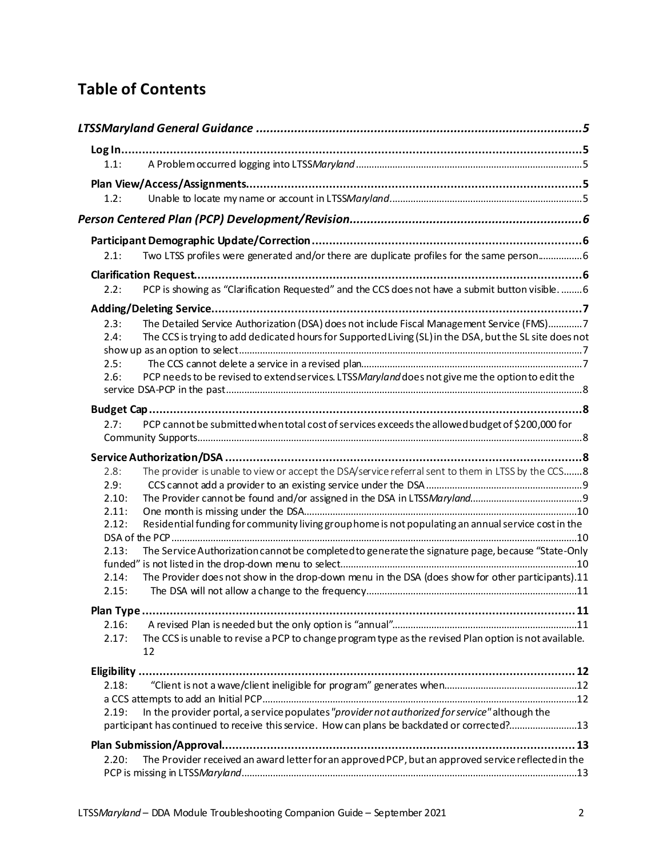# **Table of Contents**

|       | LTSSMaryland General Guidance ……………………………………………………………………………………………5                                          |  |
|-------|-------------------------------------------------------------------------------------------------------------|--|
|       |                                                                                                             |  |
| 1.1:  |                                                                                                             |  |
|       |                                                                                                             |  |
| 1.2:  |                                                                                                             |  |
|       |                                                                                                             |  |
|       |                                                                                                             |  |
| 2.1:  | Two LTSS profiles were generated and/or there are duplicate profiles for the same person 6                  |  |
|       |                                                                                                             |  |
| 2.2:  | PCP is showing as "Clarification Requested" and the CCS does not have a submit button visible.  6           |  |
|       |                                                                                                             |  |
| 2.3:  | The Detailed Service Authorization (DSA) does not include Fiscal Management Service (FMS)7                  |  |
| 2.4:  | The CCS is trying to add dedicated hours for Supported Living (SL) in the DSA, but the SL site does not     |  |
|       |                                                                                                             |  |
| 2.5:  |                                                                                                             |  |
| 2.6:  | PCP needs to be revised to extend services. LTSSMaryland does not give me the option to edit the            |  |
|       |                                                                                                             |  |
|       |                                                                                                             |  |
| 2.7:  | PCP cannot be submitted when total cost of services exceeds the allowed budget of \$200,000 for             |  |
|       |                                                                                                             |  |
|       |                                                                                                             |  |
| 2.8:  | The provider is unable to view or accept the DSA/service referral sent to them in LTSS by the CCS 8         |  |
| 2.9:  |                                                                                                             |  |
| 2.10: |                                                                                                             |  |
| 2.11: |                                                                                                             |  |
| 2.12: | Residential funding for community living group home is not populating an annual service cost in the         |  |
|       |                                                                                                             |  |
| 2.13: | The Service Authorization cannot be completed to generate the signature page, because "State-Only           |  |
| 2.14: | The Provider does not show in the drop-down menu in the DSA (does show for other participants).11           |  |
| 2.15: |                                                                                                             |  |
|       |                                                                                                             |  |
|       |                                                                                                             |  |
| 2.16: |                                                                                                             |  |
| 2.17: | The CCS is unable to revise a PCP to change program type as the revised Plan option is not available.<br>12 |  |
|       |                                                                                                             |  |
| 2.18: |                                                                                                             |  |
|       |                                                                                                             |  |
| 2.19: | In the provider portal, a service populates "provider not authorized for service" although the              |  |
|       | participant has continued to receive this service. How can plans be backdated or corrected?13               |  |
|       |                                                                                                             |  |
| 2.20: | The Provider received an award letter for an approved PCP, but an approved service reflected in the         |  |
|       |                                                                                                             |  |
|       |                                                                                                             |  |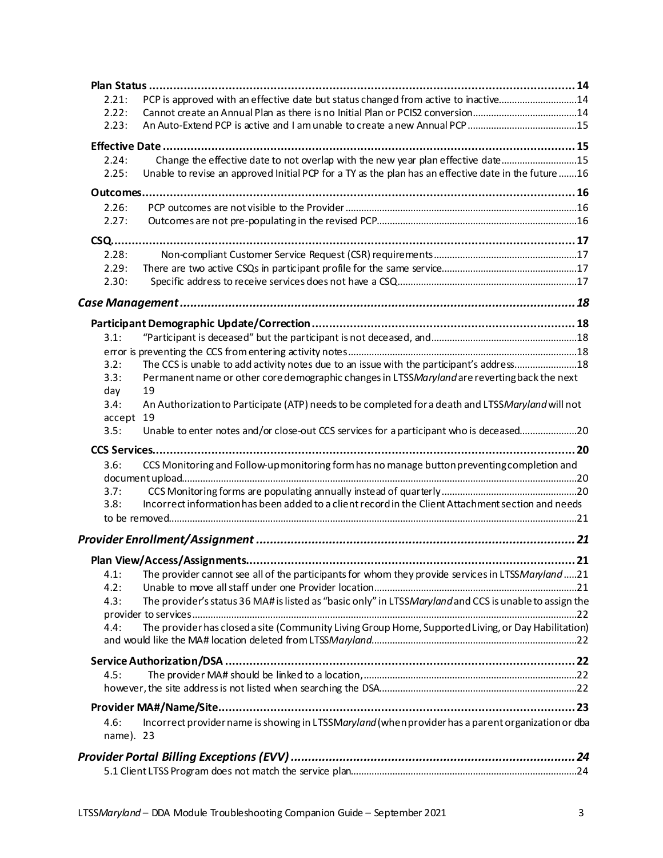| 2.21:             | PCP is approved with an effective date but status changed from active to inactive14                     |  |
|-------------------|---------------------------------------------------------------------------------------------------------|--|
| 2.22:             | Cannot create an Annual Plan as there is no Initial Plan or PCIS2 conversion14                          |  |
| 2.23:             |                                                                                                         |  |
|                   |                                                                                                         |  |
| 2.24:             | Change the effective date to not overlap with the new year plan effective date15                        |  |
| 2.25:             | Unable to revise an approved Initial PCP for a TY as the plan has an effective date in the future 16    |  |
|                   |                                                                                                         |  |
| 2.26:             |                                                                                                         |  |
| 2.27:             |                                                                                                         |  |
| <b>CSQ</b>        |                                                                                                         |  |
| 2.28:             |                                                                                                         |  |
| 2.29:             |                                                                                                         |  |
| 2.30:             |                                                                                                         |  |
|                   |                                                                                                         |  |
|                   |                                                                                                         |  |
| 3.1:              |                                                                                                         |  |
|                   |                                                                                                         |  |
|                   |                                                                                                         |  |
| 3.2:              | The CCS is unable to add activity notes due to an issue with the participant's address18                |  |
| 3.3:              | Permanent name or other core demographic changes in LTSSMaryland are reverting back the next            |  |
| day               | 19                                                                                                      |  |
| 3.4:<br>accept    | An Authorization to Participate (ATP) needs to be completed for a death and LTSSMaryland will not<br>19 |  |
| 3.5:              | Unable to enter notes and/or close-out CCS services for a participant who is deceased20                 |  |
|                   | CCS Services                                                                                            |  |
| 3.6:              | CCS Monitoring and Follow-up monitoring form has no manage button preventing completion and             |  |
|                   |                                                                                                         |  |
| 3.7:              |                                                                                                         |  |
| 3.8:              | Incorrect information has been added to a client record in the Client Attachment section and needs      |  |
|                   |                                                                                                         |  |
|                   |                                                                                                         |  |
|                   |                                                                                                         |  |
|                   |                                                                                                         |  |
| 4.1:              | The provider cannot see all of the participants for whom they provide services in LTSSMaryland 21       |  |
| 4.2:              |                                                                                                         |  |
| 4.3:              | The provider's status 36 MA# is listed as "basic only" in LTSSMaryland and CCS is unable to assign the  |  |
|                   |                                                                                                         |  |
| 4.4:              | The provider has closed a site (Community Living Group Home, Supported Living, or Day Habilitation)     |  |
|                   |                                                                                                         |  |
|                   |                                                                                                         |  |
| 4.5:              |                                                                                                         |  |
|                   |                                                                                                         |  |
|                   |                                                                                                         |  |
| 4.6:<br>name). 23 | Incorrect provider name is showing in LTSSMaryland (when provider has a parent organization or dba      |  |
|                   |                                                                                                         |  |
|                   |                                                                                                         |  |
|                   |                                                                                                         |  |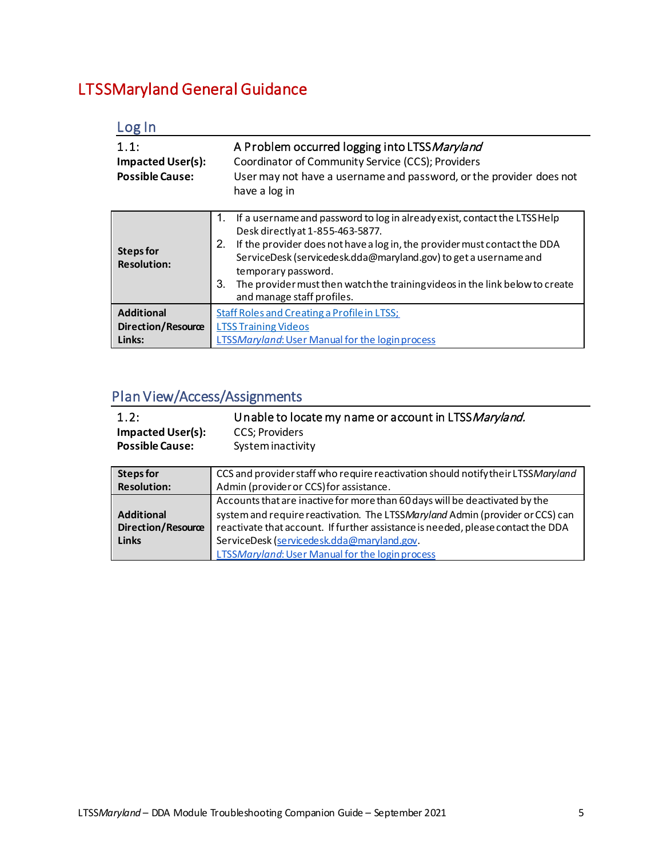# <span id="page-4-0"></span>LTSSMaryland General Guidance

<span id="page-4-2"></span><span id="page-4-1"></span>

| Log In                                                     |                                                                                                                                                                                                                                                                                                                                                                                                                       |
|------------------------------------------------------------|-----------------------------------------------------------------------------------------------------------------------------------------------------------------------------------------------------------------------------------------------------------------------------------------------------------------------------------------------------------------------------------------------------------------------|
| 1.1:<br><b>Impacted User(s):</b><br><b>Possible Cause:</b> | A Problem occurred logging into LTSS Maryland<br>Coordinator of Community Service (CCS); Providers<br>User may not have a username and password, or the provider does not<br>have a log in                                                                                                                                                                                                                            |
| <b>Steps for</b><br><b>Resolution:</b>                     | If a username and password to log in already exist, contact the LTSS Help<br>1.<br>Desk directly at 1-855-463-5877.<br>2.<br>If the provider does not have a log in, the provider must contact the DDA<br>ServiceDesk (servicedesk.dda@maryland.gov) to get a username and<br>temporary password.<br>3.<br>The provider must then watch the training videos in the link below to create<br>and manage staff profiles. |
| <b>Additional</b><br>Direction/Resource<br>Links:          | <b>Staff Roles and Creating a Profile in LTSS:</b><br><b>LTSS Training Videos</b><br><b>LTSSMaryland: User Manual for the login process</b>                                                                                                                                                                                                                                                                           |

### <span id="page-4-4"></span>Plan View/Access/Assignments

<span id="page-4-3"></span>

| 1.2:<br><b>Impacted User(s):</b><br><b>Possible Cause:</b> | Unable to locate my name or account in LTSS Maryland.<br><b>CCS</b> ; Providers<br>System inactivity |
|------------------------------------------------------------|------------------------------------------------------------------------------------------------------|
| <b>Steps for</b>                                           | CCS and provider staff who require reactivation should notify their LTSSMaryland                     |
| <b>Resolution:</b>                                         | Admin (provider or CCS) for assistance.                                                              |
|                                                            | Accounts that are inactive for more than 60 days will be deactivated by the                          |
| <b>Additional</b>                                          | system and require reactivation. The LTSSMaryland Admin (provider or CCS) can                        |
| <b>Direction/Resource</b>                                  | reactivate that account. If further assistance is needed, please contact the DDA                     |
| <b>Links</b>                                               | ServiceDesk (servicedesk.dda@maryland.gov.                                                           |
|                                                            | LTSSMaryland: User Manual for the login process                                                      |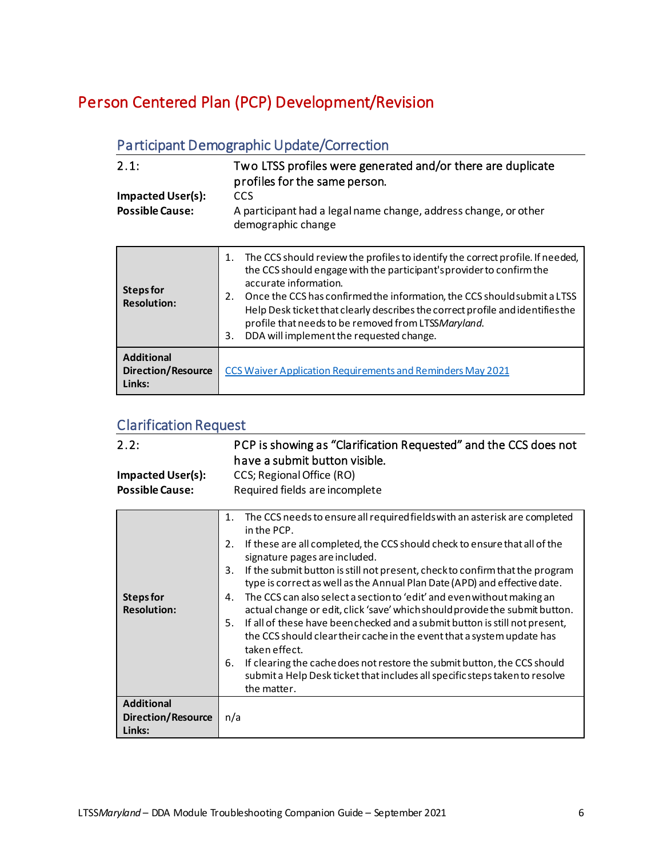## <span id="page-5-0"></span>Person Centered Plan (PCP) Development/Revision

### <span id="page-5-1"></span>Participant Demographic Update/Correction

<span id="page-5-2"></span>

| 2.1:                                               | Two LTSS profiles were generated and/or there are duplicate<br>profiles for the same person. |
|----------------------------------------------------|----------------------------------------------------------------------------------------------|
| <b>Impacted User(s):</b><br><b>Possible Cause:</b> | CCS<br>A participant had a legal name change, address change, or other<br>demographic change |
|                                                    | The CCS should review the profiles to identify the correct profile. If neede                 |

| Steps for<br><b>Resolution:</b>                          | The CCS should review the profiles to identify the correct profile. If needed,<br>1.<br>the CCS should engage with the participant's provider to confirm the<br>accurate information.<br>Once the CCS has confirmed the information, the CCS should submit a LTSS<br>2.<br>Help Desk ticket that clearly describes the correct profile and identifies the<br>profile that needs to be removed from LTSSMaryland.<br>DDA will implement the requested change.<br>3. |
|----------------------------------------------------------|--------------------------------------------------------------------------------------------------------------------------------------------------------------------------------------------------------------------------------------------------------------------------------------------------------------------------------------------------------------------------------------------------------------------------------------------------------------------|
| <b>Additional</b><br><b>Direction/Resource</b><br>Links: | <b>CCS Waiver Application Requirements and Reminders May 2021</b>                                                                                                                                                                                                                                                                                                                                                                                                  |

### <span id="page-5-3"></span>Clarification Request

<span id="page-5-4"></span>

| 2.2:                                                     | PCP is showing as "Clarification Requested" and the CCS does not<br>have a submit button visible.                                                                                                                                                                                                                                                                                                                                                                                                                                                                                                                                                                                                                                                                                                                                                                                                                      |
|----------------------------------------------------------|------------------------------------------------------------------------------------------------------------------------------------------------------------------------------------------------------------------------------------------------------------------------------------------------------------------------------------------------------------------------------------------------------------------------------------------------------------------------------------------------------------------------------------------------------------------------------------------------------------------------------------------------------------------------------------------------------------------------------------------------------------------------------------------------------------------------------------------------------------------------------------------------------------------------|
| <b>Impacted User(s):</b>                                 | CCS; Regional Office (RO)                                                                                                                                                                                                                                                                                                                                                                                                                                                                                                                                                                                                                                                                                                                                                                                                                                                                                              |
| <b>Possible Cause:</b>                                   | Required fields are incomplete                                                                                                                                                                                                                                                                                                                                                                                                                                                                                                                                                                                                                                                                                                                                                                                                                                                                                         |
| <b>Steps for</b><br><b>Resolution:</b>                   | The CCS needs to ensure all required fields with an asterisk are completed<br>1.<br>in the PCP.<br>2.<br>If these are all completed, the CCS should check to ensure that all of the<br>signature pages are included.<br>If the submit button is still not present, check to confirm that the program<br>3.<br>type is correct as well as the Annual Plan Date (APD) and effective date.<br>The CCS can also select a section to 'edit' and even without making an<br>4.<br>actual change or edit, click 'save' which should provide the submit button.<br>5.<br>If all of these have been checked and a submit button is still not present,<br>the CCS should clear their cache in the event that a system update has<br>taken effect.<br>6.<br>If clearing the cache does not restore the submit button, the CCS should<br>submit a Help Desk ticket that includes all specific steps taken to resolve<br>the matter. |
| <b>Additional</b><br><b>Direction/Resource</b><br>Links: | n/a                                                                                                                                                                                                                                                                                                                                                                                                                                                                                                                                                                                                                                                                                                                                                                                                                                                                                                                    |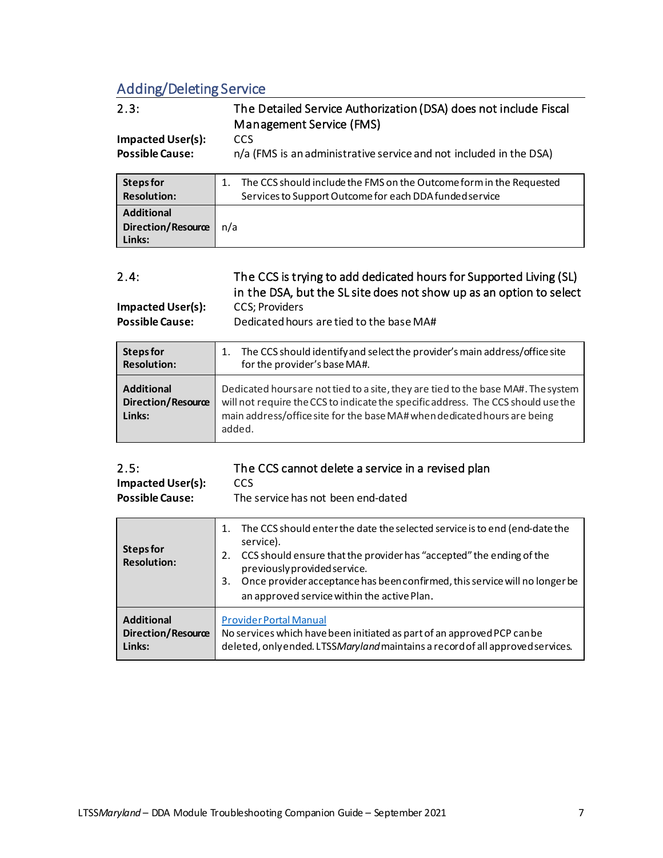### <span id="page-6-0"></span>Adding/Deleting Service

<span id="page-6-1"></span>

| Adding/Deleting Service                            |                                                                                              |  |
|----------------------------------------------------|----------------------------------------------------------------------------------------------|--|
| 2.3:                                               | The Detailed Service Authorization (DSA) does not include Fiscal<br>Management Service (FMS) |  |
| <b>Impacted User(s):</b><br><b>Possible Cause:</b> | CCS<br>n/a (FMS is an administrative service and not included in the DSA)                    |  |

| Steps for                                                | The CCS should include the FMS on the Outcome form in the Requested |
|----------------------------------------------------------|---------------------------------------------------------------------|
| <b>Resolution:</b>                                       | Services to Support Outcome for each DDA funded service             |
| <b>Additional</b><br><b>Direction/Resource</b><br>Links: | n/a                                                                 |

<span id="page-6-2"></span>

| 2.4:              | The CCS is trying to add dedicated hours for Supported Living (SL)  |
|-------------------|---------------------------------------------------------------------|
|                   | in the DSA, but the SL site does not show up as an option to select |
| Impacted User(s): | CCS: Providers                                                      |

**Possible Cause:** Dedicated hours are tied to the base MA#

| <b>Steps for</b>                                         | The CCS should identify and select the provider's main address/office site                                                                                                                                                                                  |
|----------------------------------------------------------|-------------------------------------------------------------------------------------------------------------------------------------------------------------------------------------------------------------------------------------------------------------|
| <b>Resolution:</b>                                       | for the provider's base MA#.                                                                                                                                                                                                                                |
| <b>Additional</b><br><b>Direction/Resource</b><br>Links: | Dedicated hoursare not tied to a site, they are tied to the base MA#. The system<br>will not require the CCS to indicate the specific address. The CCS should use the<br>main address/office site for the base MA# when dedicated hours are being<br>added. |

<span id="page-6-3"></span>

| 2.5:                     | The CCS cannot delete a service in a revised plan |
|--------------------------|---------------------------------------------------|
| <b>Impacted User(s):</b> | CCS.                                              |
| <b>Possible Cause:</b>   | The service has not been end-dated                |

| Steps for<br><b>Resolution:</b> | The CCS should enter the date the selected service is to end (end-date the<br>1.<br>service).<br>2. CCS should ensure that the provider has "accepted" the ending of the<br>previously provided service.<br>Once provider acceptance has been confirmed, this service will no longer be<br>3.<br>an approved service within the active Plan. |
|---------------------------------|----------------------------------------------------------------------------------------------------------------------------------------------------------------------------------------------------------------------------------------------------------------------------------------------------------------------------------------------|
| <b>Additional</b>               | <b>Provider Portal Manual</b>                                                                                                                                                                                                                                                                                                                |
| <b>Direction/Resource</b>       | No services which have been initiated as part of an approved PCP can be                                                                                                                                                                                                                                                                      |
| Links:                          | deleted, only ended. LTSSMaryland maintains a record of all approved services.                                                                                                                                                                                                                                                               |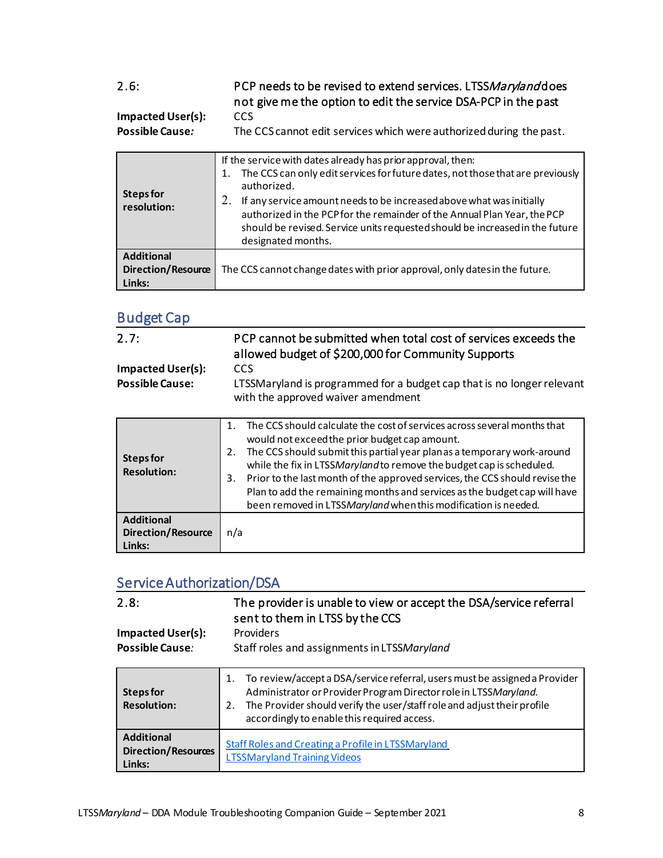### <span id="page-7-0"></span>2.6: PCP needs to be revised to extend services. LTSSMaryland does not give me the option to edit the service DSA-PCP in the past

**Impacted User(s):** CCS<br>**Possible Cause:** The The CCS cannot edit services which were authorized during the past.

| <b>Steps for</b><br>resolution:                   | If the service with dates already has prior approval, then:<br>The CCS can only edit services for future dates, not those that are previously<br>1.<br>authorized.<br>If any service amount needs to be increased above what was initially<br>authorized in the PCP for the remainder of the Annual Plan Year, the PCP<br>should be revised. Service units requested should be increased in the future<br>designated months. |
|---------------------------------------------------|------------------------------------------------------------------------------------------------------------------------------------------------------------------------------------------------------------------------------------------------------------------------------------------------------------------------------------------------------------------------------------------------------------------------------|
| <b>Additional</b><br>Direction/Resource<br>Links: | The CCS cannot change dates with prior approval, only dates in the future.                                                                                                                                                                                                                                                                                                                                                   |

#### <span id="page-7-1"></span>Budget Cap

<span id="page-7-2"></span>

| 2.7:<br><b>Impacted User(s):</b><br><b>Possible Cause:</b> | PCP cannot be submitted when total cost of services exceeds the<br>allowed budget of \$200,000 for Community Supports<br><b>CCS</b><br>LTSSMaryland is programmed for a budget cap that is no longer relevant<br>with the approved waiver amendment                                                                                                                                                                                                                                                                                   |
|------------------------------------------------------------|---------------------------------------------------------------------------------------------------------------------------------------------------------------------------------------------------------------------------------------------------------------------------------------------------------------------------------------------------------------------------------------------------------------------------------------------------------------------------------------------------------------------------------------|
| <b>Steps for</b><br><b>Resolution:</b>                     | The CCS should calculate the cost of services across several months that<br>$\mathbf{1}$<br>would not exceed the prior budget cap amount.<br>The CCS should submit this partial year planas a temporary work-around<br>2.<br>while the fix in LTSSMaryland to remove the budget cap is scheduled.<br>Prior to the last month of the approved services, the CCS should revise the<br>3.<br>Plan to add the remaining months and services as the budget cap will have<br>been removed in LTSSMaryland when this modification is needed. |
| <b>Additional</b><br><b>Direction/Resource</b><br>Links:   | n/a                                                                                                                                                                                                                                                                                                                                                                                                                                                                                                                                   |

#### <span id="page-7-3"></span>Service Authorization/DSA

<span id="page-7-4"></span>

| 2.8:<br><b>Impacted User(s):</b><br>Possible Cause:       | The provider is unable to view or accept the DSA/service referral<br>sent to them in LTSS by the CCS<br><b>Providers</b><br>Staff roles and assignments in LTSSMaryland                                                                                                     |
|-----------------------------------------------------------|-----------------------------------------------------------------------------------------------------------------------------------------------------------------------------------------------------------------------------------------------------------------------------|
| <b>Steps for</b><br><b>Resolution:</b>                    | To review/accept a DSA/service referral, users must be assigned a Provider<br>Administrator or Provider Program Director role in LTSSMaryland.<br>2. The Provider should verify the user/staff role and adjust their profile<br>accordingly to enable this required access. |
| <b>Additional</b><br><b>Direction/Resources</b><br>Links: | Staff Roles and Creating a Profile in LTSSMaryland<br><b>LTSSMaryland Training Videos</b>                                                                                                                                                                                   |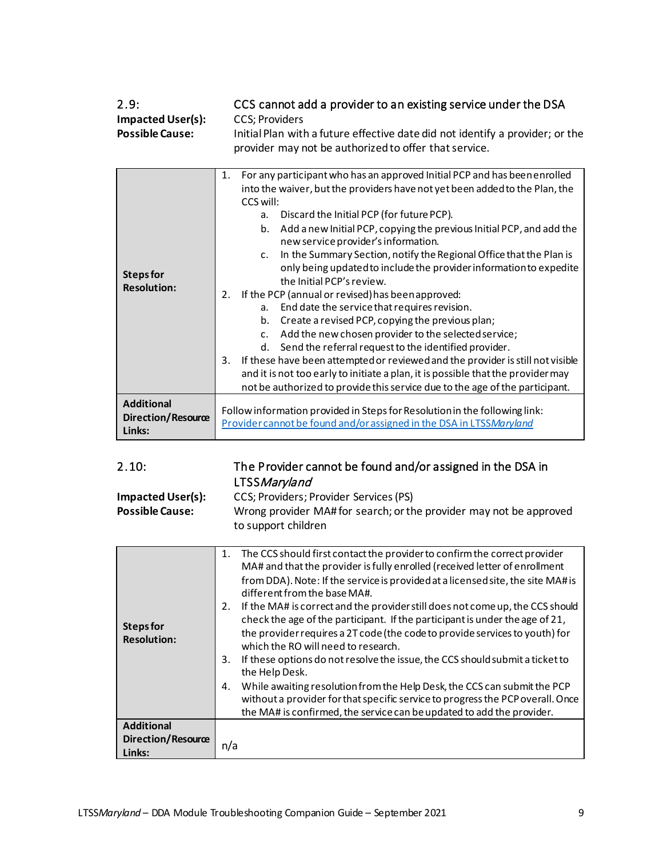<span id="page-8-0"></span>

| 2.9:                     | CCS cannot add a provider to an existing service under the DSA                                                                         |
|--------------------------|----------------------------------------------------------------------------------------------------------------------------------------|
| <b>Impacted User(s):</b> | CCS: Providers                                                                                                                         |
| <b>Possible Cause:</b>   | Initial Plan with a future effective date did not identify a provider; or the<br>provider may not be authorized to offer that service. |

|                                         | For any participant who has an approved Initial PCP and has been enrolled<br>1.                                                                                                          |
|-----------------------------------------|------------------------------------------------------------------------------------------------------------------------------------------------------------------------------------------|
|                                         | into the waiver, but the providers have not yet been added to the Plan, the<br>CCS will:                                                                                                 |
|                                         | Discard the Initial PCP (for future PCP).<br>a.                                                                                                                                          |
| <b>Steps for</b><br><b>Resolution:</b>  | Add a new Initial PCP, copying the previous Initial PCP, and add the<br>b.<br>new service provider's information.                                                                        |
|                                         | In the Summary Section, notify the Regional Office that the Plan is<br>$\mathsf{C}$ .<br>only being updated to include the provider information to expedite<br>the Initial PCP's review. |
|                                         | If the PCP (annual or revised) has been approved:<br>2.                                                                                                                                  |
|                                         | End date the service that requires revision.<br>a.                                                                                                                                       |
|                                         | Create a revised PCP, copying the previous plan;<br>b.                                                                                                                                   |
|                                         |                                                                                                                                                                                          |
|                                         | Add the new chosen provider to the selected service;<br>C <sub>1</sub>                                                                                                                   |
|                                         | Send the referral request to the identified provider.<br>d.                                                                                                                              |
|                                         | If these have been attempted or reviewed and the provider is still not visible<br>3.                                                                                                     |
|                                         | and it is not too early to initiate a plan, it is possible that the provider may                                                                                                         |
|                                         | not be authorized to provide this service due to the age of the participant.                                                                                                             |
| <b>Additional</b><br>Direction/Resource | Follow information provided in Steps for Resolution in the following link:                                                                                                               |
| Links:                                  | Provider cannot be found and/or assigned in the DSA in LTSSMaryland                                                                                                                      |

<span id="page-8-1"></span>

| 2.10: | The Provider cannot be found and/or assigned in the DSA in |
|-------|------------------------------------------------------------|
|       | LTSS Maryland                                              |

| Impacted User(s):      | CCS; Providers; Provider Services (PS)                             |
|------------------------|--------------------------------------------------------------------|
| <b>Possible Cause:</b> | Wrong provider MA# for search; or the provider may not be approved |
|                        | to support children                                                |

|                    | 1. The CCS should first contact the provider to confirm the correct provider        |
|--------------------|-------------------------------------------------------------------------------------|
|                    | MA# and that the provider is fully enrolled (received letter of enrollment          |
|                    | from DDA). Note: If the service is provided at a licensed site, the site MA# is     |
|                    |                                                                                     |
|                    | different from the base MA#.                                                        |
|                    | If the MA# is correct and the provider still does not come up, the CCS should<br>2. |
|                    | check the age of the participant. If the participant is under the age of 21,        |
| <b>Steps for</b>   | the provider requires a 2T code (the code to provide services to youth) for         |
| <b>Resolution:</b> |                                                                                     |
|                    | which the RO will need to research.                                                 |
|                    | If these options do not resolve the issue, the CCS should submit a ticket to<br>3.  |
|                    | the Help Desk.                                                                      |
|                    | While awaiting resolution from the Help Desk, the CCS can submit the PCP<br>4.      |
|                    | without a provider for that specific service to progress the PCP overall. Once      |
|                    |                                                                                     |
|                    | the MA# is confirmed, the service can be updated to add the provider.               |
| <b>Additional</b>  |                                                                                     |
| Direction/Resource |                                                                                     |
| Links:             | n/a                                                                                 |
|                    |                                                                                     |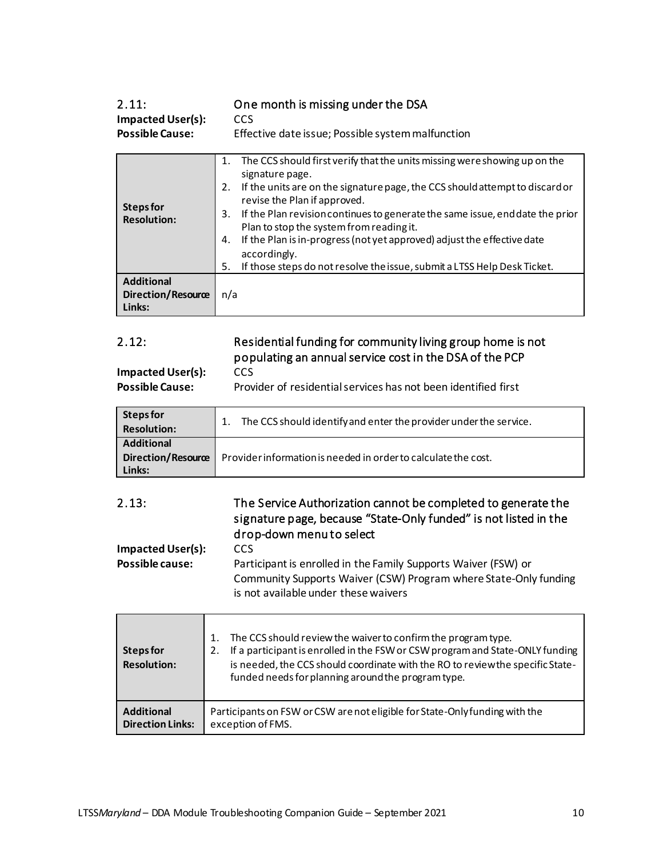<span id="page-9-0"></span>

| 2.11:                    | One month is missing under the DSA                                        |
|--------------------------|---------------------------------------------------------------------------|
| <b>Impacted User(s):</b> | <b>CCS</b>                                                                |
| <b>Possible Cause:</b>   | Effective date issue; Possible system malfunction                         |
|                          | The CCS should first verify that the units missing were showing up on the |

| Steps for<br><b>Resolution:</b>                          | signature page.<br>If the units are on the signature page, the CCS should attempt to discard or<br>2.<br>revise the Plan if approved.<br>If the Plan revision continues to generate the same issue, end date the prior<br>3.<br>Plan to stop the system from reading it.<br>If the Plan is in-progress (not yet approved) adjust the effective date<br>4.<br>accordingly.<br>If those steps do not resolve the issue, submit a LTSS Help Desk Ticket.<br>5. |
|----------------------------------------------------------|-------------------------------------------------------------------------------------------------------------------------------------------------------------------------------------------------------------------------------------------------------------------------------------------------------------------------------------------------------------------------------------------------------------------------------------------------------------|
| <b>Additional</b><br><b>Direction/Resource</b><br>Links: | n/a                                                                                                                                                                                                                                                                                                                                                                                                                                                         |

<span id="page-9-1"></span>

| 2.12:             | Residential funding for community living group home is not |
|-------------------|------------------------------------------------------------|
|                   | populating an annual service cost in the DSA of the PCP    |
| Impacted User(s): | CCS.                                                       |

| <b>Impacted User(s):</b> |
|--------------------------|
| Doccible Couse:          |

**Possible Cause:** Provider of residential services has not been identified first

| Steps for<br><b>Resolution:</b>                   | The CCS should identify and enter the provider under the service. |
|---------------------------------------------------|-------------------------------------------------------------------|
| <b>Additional</b><br>Direction/Resource<br>Links: | Provider information is needed in order to calculate the cost.    |

#### <span id="page-9-2"></span>2.13: The Service Authorization cannot be completed to generate the signature page, because "State-Only funded" is not listed in the drop-down menu to select **Impacted User(s): CCS**

**Possible cause:** Participant is enrolled in the Family Supports Waiver (FSW) or Community Supports Waiver (CSW) Program where State-Only funding is not available under these waivers

| Steps for<br><b>Resolution:</b> | The CCS should review the waiver to confirm the program type.<br>If a participant is enrolled in the FSW or CSW program and State-ONLY funding<br>2.<br>is needed, the CCS should coordinate with the RO to review the specific State-<br>funded needs for planning around the program type. |
|---------------------------------|----------------------------------------------------------------------------------------------------------------------------------------------------------------------------------------------------------------------------------------------------------------------------------------------|
| <b>Additional</b>               | Participants on FSW or CSW are not eligible for State-Only funding with the                                                                                                                                                                                                                  |
| <b>Direction Links:</b>         | exception of FMS.                                                                                                                                                                                                                                                                            |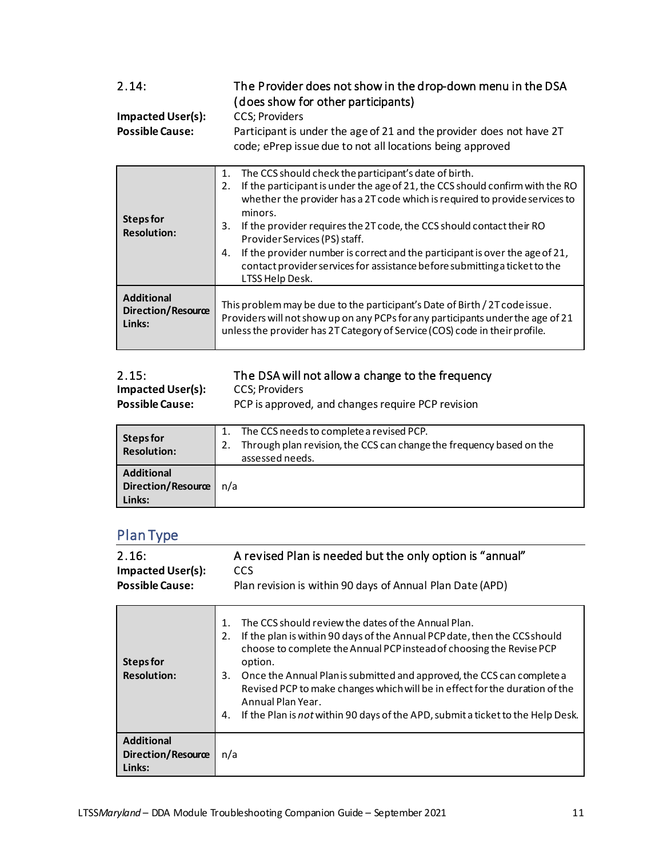<span id="page-10-0"></span>

| 2.14:<br><b>Impacted User(s):</b><br><b>Possible Cause:</b> | The Provider does not show in the drop-down menu in the DSA<br>(does show for other participants)<br><b>CCS</b> ; Providers<br>Participant is under the age of 21 and the provider does not have 2T<br>code; ePrep issue due to not all locations being approved                                                                                                                                                                                                                                                                                    |
|-------------------------------------------------------------|-----------------------------------------------------------------------------------------------------------------------------------------------------------------------------------------------------------------------------------------------------------------------------------------------------------------------------------------------------------------------------------------------------------------------------------------------------------------------------------------------------------------------------------------------------|
| <b>Steps for</b><br><b>Resolution:</b>                      | The CCS should check the participant's date of birth.<br>1.<br>If the participant is under the age of 21, the CCS should confirm with the RO<br>2.<br>whether the provider has a 2T code which is required to provide services to<br>minors.<br>If the provider requires the 2T code, the CCS should contact their RO<br>3.<br>Provider Services (PS) staff.<br>If the provider number is correct and the participant is over the age of 21,<br>4.<br>contact provider services for assistance before submitting a ticket to the<br>LTSS Help Desk. |
| <b>Additional</b><br>Direction/Resource<br>Links:           | This problem may be due to the participant's Date of Birth / 2T code issue.<br>Providers will not show up on any PCPs for any participants under the age of 21<br>unless the provider has 2T Category of Service (COS) code in their profile.                                                                                                                                                                                                                                                                                                       |

<span id="page-10-1"></span>

| 2.15:                    | The DSA will not allow a change to the frequency  |
|--------------------------|---------------------------------------------------|
| <b>Impacted User(s):</b> | <b>CCS: Providers</b>                             |
| <b>Possible Cause:</b>   | PCP is approved, and changes require PCP revision |

| <b>Steps for</b><br><b>Resolution:</b>            | The CCS needs to complete a revised PCP.<br>Through plan revision, the CCS can change the frequency based on the<br>assessed needs. |
|---------------------------------------------------|-------------------------------------------------------------------------------------------------------------------------------------|
| <b>Additional</b><br>Direction/Resource<br>Links: | n/a                                                                                                                                 |

#### <span id="page-10-2"></span>Plan Type

**Links:**

<span id="page-10-3"></span>

| . <i>.</i>                                                  |                                                                                                                                                                                                                                                                                                                                                                                                                                                                                                              |
|-------------------------------------------------------------|--------------------------------------------------------------------------------------------------------------------------------------------------------------------------------------------------------------------------------------------------------------------------------------------------------------------------------------------------------------------------------------------------------------------------------------------------------------------------------------------------------------|
| 2.16:<br><b>Impacted User(s):</b><br><b>Possible Cause:</b> | A revised Plan is needed but the only option is "annual"<br><b>CCS</b><br>Plan revision is within 90 days of Annual Plan Date (APD)                                                                                                                                                                                                                                                                                                                                                                          |
| <b>Steps for</b><br><b>Resolution:</b>                      | The CCS should review the dates of the Annual Plan.<br>1.<br>2.<br>If the plan is within 90 days of the Annual PCP date, then the CCS should<br>choose to complete the Annual PCP instead of choosing the Revise PCP<br>option.<br>Once the Annual Plan is submitted and approved, the CCS can complete a<br>3.<br>Revised PCP to make changes which will be in effect for the duration of the<br>Annual Plan Year.<br>If the Plan is not within 90 days of the APD, submit a ticket to the Help Desk.<br>4. |
| <b>Additional</b><br>Direction/Resource                     | n/a                                                                                                                                                                                                                                                                                                                                                                                                                                                                                                          |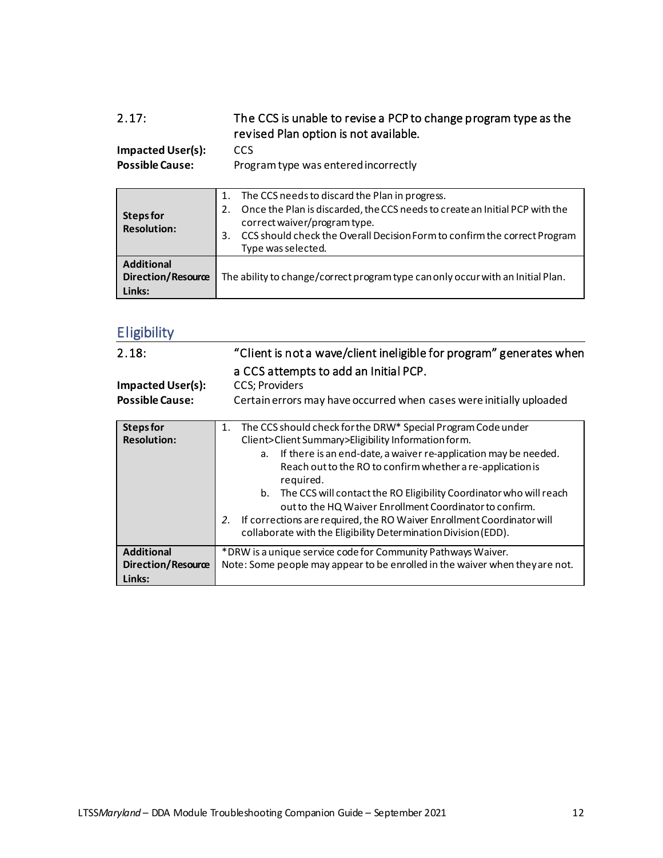<span id="page-11-0"></span>

| 2.17:                                             | The CCS is unable to revise a PCP to change program type as the<br>revised Plan option is not available.                                                                                                                                                                           |
|---------------------------------------------------|------------------------------------------------------------------------------------------------------------------------------------------------------------------------------------------------------------------------------------------------------------------------------------|
| <b>Impacted User(s):</b>                          | <b>CCS</b>                                                                                                                                                                                                                                                                         |
| <b>Possible Cause:</b>                            | Program type was entered incorrectly                                                                                                                                                                                                                                               |
| <b>Steps for</b><br><b>Resolution:</b>            | The CCS needs to discard the Plan in progress.<br>1.<br>Once the Plan is discarded, the CCS needs to create an Initial PCP with the<br>2.<br>correct waiver/program type.<br>CCS should check the Overall Decision Form to confirm the correct Program<br>3.<br>Type was selected. |
| <b>Additional</b><br>Direction/Resource<br>Links: | The ability to change/correct program type can only occur with an Initial Plan.                                                                                                                                                                                                    |

### <span id="page-11-1"></span>**Eligibility**

<span id="page-11-3"></span><span id="page-11-2"></span>

| 2.18:<br><b>Impacted User(s):</b><br><b>Possible Cause:</b> | "Client is not a wave/client ineligible for program" generates when<br>a CCS attempts to add an Initial PCP.<br>CCS; Providers<br>Certain errors may have occurred when cases were initially uploaded                                                                                                                                                                                                                                                                                                                                                               |
|-------------------------------------------------------------|---------------------------------------------------------------------------------------------------------------------------------------------------------------------------------------------------------------------------------------------------------------------------------------------------------------------------------------------------------------------------------------------------------------------------------------------------------------------------------------------------------------------------------------------------------------------|
| <b>Steps for</b><br><b>Resolution:</b>                      | The CCS should check for the DRW* Special Program Code under<br>1.<br>Client>Client Summary>Eligibility Information form.<br>If there is an end-date, a waiver re-application may be needed.<br>a.<br>Reach out to the RO to confirm whether a re-application is<br>required.<br>b. The CCS will contact the RO Eligibility Coordinator who will reach<br>out to the HQ Waiver Enrollment Coordinator to confirm.<br>If corrections are required, the RO Waiver Enrollment Coordinator will<br>2.<br>collaborate with the Eligibility Determination Division (EDD). |
| <b>Additional</b><br><b>Direction/Resource</b><br>Links:    | * DRW is a unique service code for Community Pathways Waiver.<br>Note: Some people may appear to be enrolled in the waiver when they are not.                                                                                                                                                                                                                                                                                                                                                                                                                       |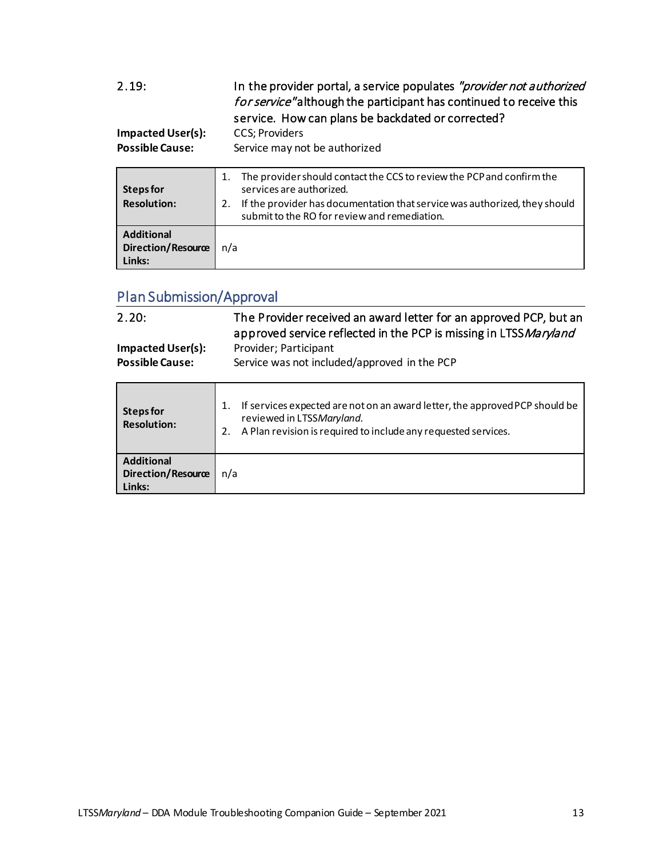<span id="page-12-0"></span>

| 2.19:<br><b>Impacted User(s):</b><br><b>Possible Cause:</b> | In the provider portal, a service populates "provider not authorized<br>for service" although the participant has continued to receive this<br>service. How can plans be backdated or corrected?<br>CCS; Providers<br>Service may not be authorized |
|-------------------------------------------------------------|-----------------------------------------------------------------------------------------------------------------------------------------------------------------------------------------------------------------------------------------------------|
| Steps for<br><b>Resolution:</b>                             | The provider should contact the CCS to review the PCP and confirm the<br>1.<br>services are authorized.<br>If the provider has documentation that service was authorized, they should<br>2.<br>submit to the RO for review and remediation.         |
| <b>Additional</b><br>Direction/Resource<br>Links:           | n/a                                                                                                                                                                                                                                                 |

# <span id="page-12-1"></span>Plan Submission/Approval

<span id="page-12-2"></span>

| 2.20:<br><b>Impacted User(s):</b><br><b>Possible Cause:</b> | The Provider received an award letter for an approved PCP, but an<br>approved service reflected in the PCP is missing in LTSSMaryland<br>Provider; Participant<br>Service was not included/approved in the PCP |
|-------------------------------------------------------------|----------------------------------------------------------------------------------------------------------------------------------------------------------------------------------------------------------------|
| <b>Steps for</b><br><b>Resolution:</b>                      | If services expected are not on an award letter, the approved PCP should be<br>1.<br>reviewed in LTSSMaryland.<br>A Plan revision is required to include any requested services.<br>2.                         |
| <b>Additional</b><br><b>Direction/Resource</b><br>Links:    | n/a                                                                                                                                                                                                            |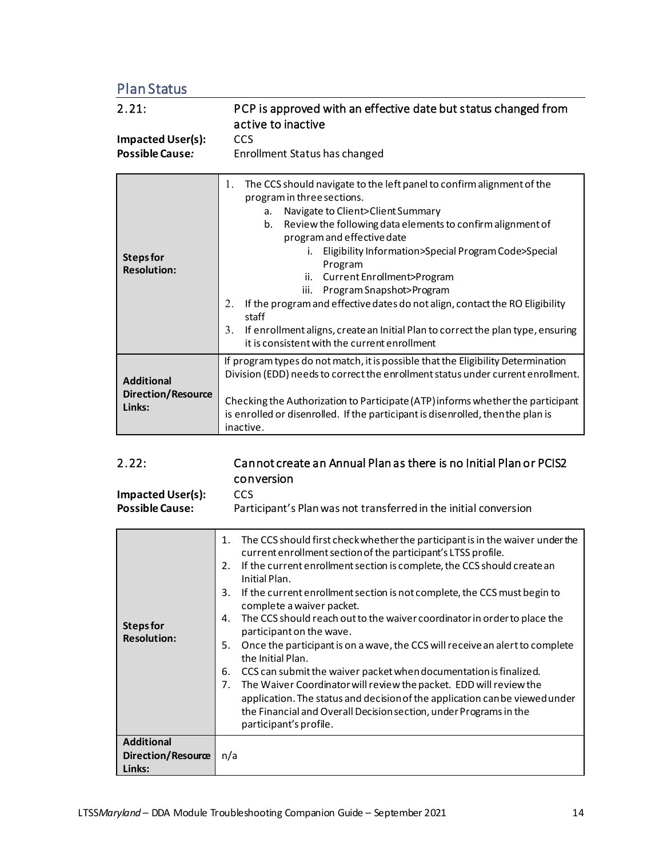<span id="page-13-0"></span>Plan Status

<span id="page-13-1"></span>

| 2.21:<br><b>Impacted User(s):</b><br><b>Possible Cause:</b> | PCP is approved with an effective date but status changed from<br>active to inactive<br><b>CCS</b><br>Enrollment Status has changed                                                                                                                                                                                                                                                                                                                                                                                                                                                                                                          |
|-------------------------------------------------------------|----------------------------------------------------------------------------------------------------------------------------------------------------------------------------------------------------------------------------------------------------------------------------------------------------------------------------------------------------------------------------------------------------------------------------------------------------------------------------------------------------------------------------------------------------------------------------------------------------------------------------------------------|
| <b>Steps for</b><br><b>Resolution:</b>                      | The CCS should navigate to the left panel to confirm alignment of the<br>1.<br>program in three sections.<br>Navigate to Client>Client Summary<br>a.<br>Review the following data elements to confirm alignment of<br>b.<br>program and effective date<br>i. Eligibility Information>Special Program Code>Special<br>Program<br>Current Enrollment>Program<br>ii.<br>Program Snapshot>Program<br>iii.<br>If the program and effective dates do not align, contact the RO Eligibility<br>2.<br>staff<br>3.<br>If enrollment aligns, create an Initial Plan to correct the plan type, ensuring<br>it is consistent with the current enrollment |
| <b>Additional</b><br><b>Direction/Resource</b><br>Links:    | If program types do not match, it is possible that the Eligibility Determination<br>Division (EDD) needs to correct the enrollment status under current enrollment.<br>Checking the Authorization to Participate (ATP) informs whether the participant<br>is enrolled or disenrolled. If the participant is disenrolled, then the plan is<br>inactive.                                                                                                                                                                                                                                                                                       |

<span id="page-13-2"></span>

| 2.22:                                  | Cannot create an Annual Plan as there is no Initial Plan or PCIS2<br>conversion                             |
|----------------------------------------|-------------------------------------------------------------------------------------------------------------|
| <b>Impacted User(s):</b>               | <b>CCS</b>                                                                                                  |
| <b>Possible Cause:</b>                 | Participant's Plan was not transferred in the initial conversion                                            |
|                                        | The CCS should first check whether the participant is in the waiver under the<br>1.                         |
|                                        | current enrollment section of the participant's LTSS profile.                                               |
| <b>Steps for</b><br><b>Resolution:</b> | If the current enrollment section is complete, the CCS should create an<br>2.<br>Initial Plan.              |
|                                        | If the current enrollment section is not complete, the CCS must begin to<br>3.<br>complete a waiver packet. |
|                                        | The CCS should reach out to the waiver coordinator in order to place the<br>4.<br>participant on the wave.  |
|                                        | Once the participant is on a wave, the CCS will receive an alert to complete<br>5.<br>the Initial Plan.     |
|                                        | CCS can submit the waiver packet when documentation is finalized.<br>6.                                     |
|                                        | The Waiver Coordinator will review the packet. EDD will review the<br>7.                                    |
|                                        | application. The status and decision of the application can be viewed under                                 |
|                                        | the Financial and Overall Decision section, under Programs in the                                           |
|                                        | participant's profile.                                                                                      |
| <b>Additional</b>                      |                                                                                                             |
| Direction/Resource                     | n/a                                                                                                         |
| Links:                                 |                                                                                                             |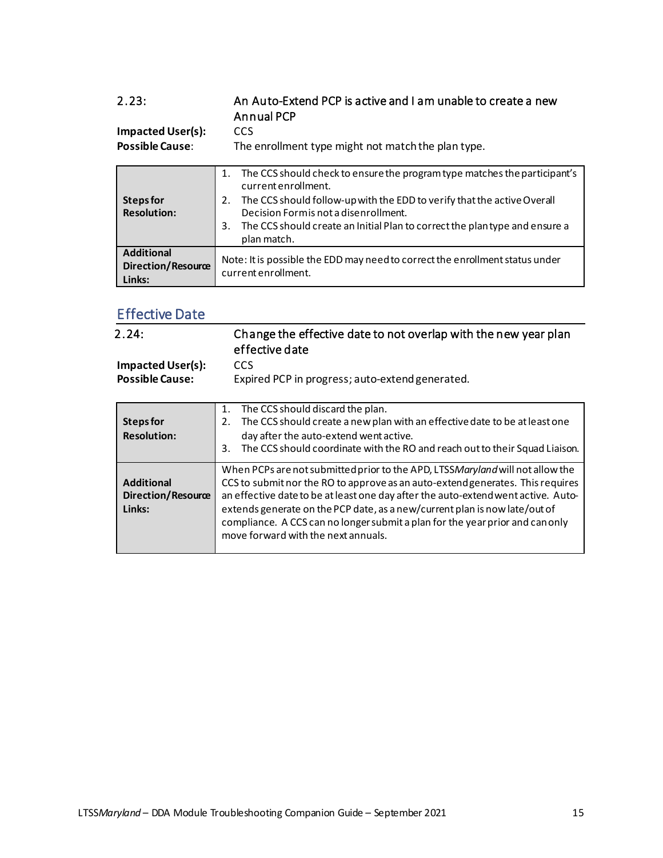<span id="page-14-0"></span>

| 2.23:<br><b>Impacted User(s):</b><br><b>Possible Cause:</b> | An Auto-Extend PCP is active and I am unable to create a new<br><b>Annual PCP</b><br><b>CCS</b><br>The enrollment type might not match the plan type.                                                                                                                                                                              |
|-------------------------------------------------------------|------------------------------------------------------------------------------------------------------------------------------------------------------------------------------------------------------------------------------------------------------------------------------------------------------------------------------------|
| Steps for<br><b>Resolution:</b>                             | The CCS should check to ensure the program type matches the participant's<br>1.<br>current enrollment.<br>The CCS should follow-up with the EDD to verify that the active Overall<br>2.<br>Decision Formis not a disenrollment.<br>The CCS should create an Initial Plan to correct the plantype and ensure a<br>3.<br>plan match. |
| <b>Additional</b><br>Direction/Resource<br>Links:           | Note: It is possible the EDD may need to correct the enrollment status under<br>current enrollment.                                                                                                                                                                                                                                |

### <span id="page-14-1"></span>Effective Date

<span id="page-14-2"></span>

| 2.24:                                              | Change the effective date to not overlap with the new year plan<br>effective date                                                                                                                                                                                                                                                                                                                                                                          |
|----------------------------------------------------|------------------------------------------------------------------------------------------------------------------------------------------------------------------------------------------------------------------------------------------------------------------------------------------------------------------------------------------------------------------------------------------------------------------------------------------------------------|
| <b>Impacted User(s):</b><br><b>Possible Cause:</b> | <b>CCS</b><br>Expired PCP in progress; auto-extend generated.                                                                                                                                                                                                                                                                                                                                                                                              |
| <b>Steps for</b><br><b>Resolution:</b>             | The CCS should discard the plan.<br>1.<br>The CCS should create a new plan with an effective date to be at least one<br>2.<br>day after the auto-extend went active.<br>The CCS should coordinate with the RO and reach out to their Squad Liaison.<br>3.                                                                                                                                                                                                  |
| <b>Additional</b><br>Direction/Resource<br>Links:  | When PCPs are not submitted prior to the APD, LTSSMaryland will not allow the<br>CCS to submit nor the RO to approve as an auto-extend generates. This requires<br>an effective date to be at least one day after the auto-extend went active. Auto-<br>extends generate on the PCP date, as a new/current plan is now late/out of<br>compliance. A CCS can no longer submit a plan for the year prior and can only<br>move forward with the next annuals. |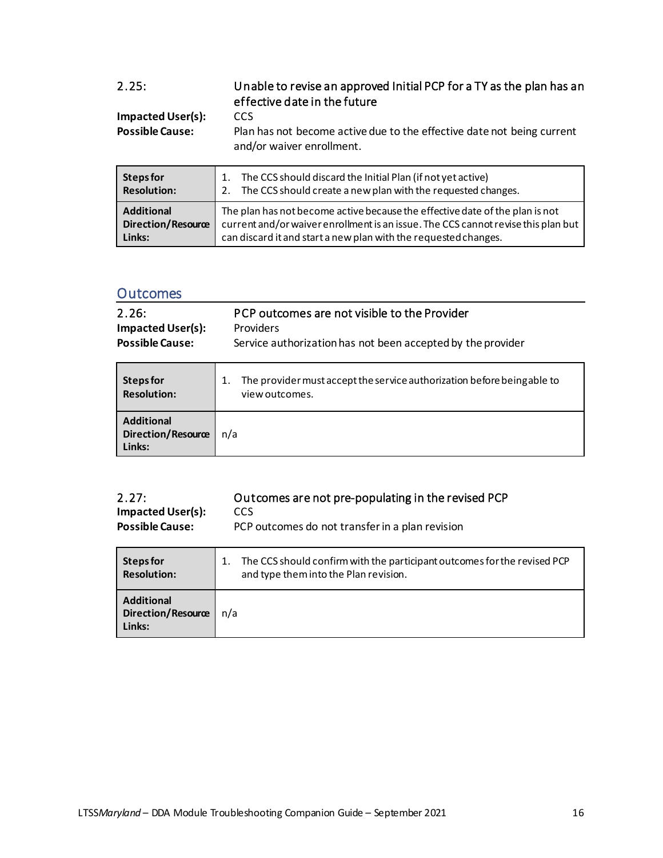<span id="page-15-0"></span>

| 2.25:                  | Unable to revise an approved Initial PCP for a TY as the plan has an<br>effective date in the future |
|------------------------|------------------------------------------------------------------------------------------------------|
| Impacted User(s):      | CCS.                                                                                                 |
| <b>Possible Cause:</b> | Plan has not become active due to the effective date not being current                               |
|                        | and/or waiver enrollment.                                                                            |

| <b>Steps for</b>          | 1. The CCS should discard the Initial Plan (if not yet active)                    |
|---------------------------|-----------------------------------------------------------------------------------|
| <b>Resolution:</b>        | 2. The CCS should create a new plan with the requested changes.                   |
| <b>Additional</b>         | The plan has not become active because the effective date of the plan is not      |
| <b>Direction/Resource</b> | current and/or waiver enrollment is an issue. The CCS cannot revise this plan but |
| Links:                    | can discard it and start a new plan with the requested changes.                   |

#### <span id="page-15-1"></span>**Outcomes**

<span id="page-15-2"></span>

| 2.26:<br><b>Impacted User(s):</b><br><b>Possible Cause:</b> | PCP outcomes are not visible to the Provider<br><b>Providers</b><br>Service authorization has not been accepted by the provider |
|-------------------------------------------------------------|---------------------------------------------------------------------------------------------------------------------------------|
| Steps for<br><b>Resolution:</b>                             | The provider must accept the service authorization before being able to<br>1.<br>view outcomes.                                 |
| <b>Additional</b><br><b>Direction/Resource</b><br>Links:    | n/a                                                                                                                             |

<span id="page-15-3"></span>

| 2.27:                    | Outcomes are not pre-populating in the revised PCP |
|--------------------------|----------------------------------------------------|
| <b>Impacted User(s):</b> | CCS                                                |
| <b>Possible Cause:</b>   | PCP outcomes do not transfer in a plan revision    |

| Steps for                                                | The CCS should confirm with the participant outcomes for the revised PCP |
|----------------------------------------------------------|--------------------------------------------------------------------------|
| <b>Resolution:</b>                                       | and type them into the Plan revision.                                    |
| <b>Additional</b><br><b>Direction/Resource</b><br>Links: | n/a                                                                      |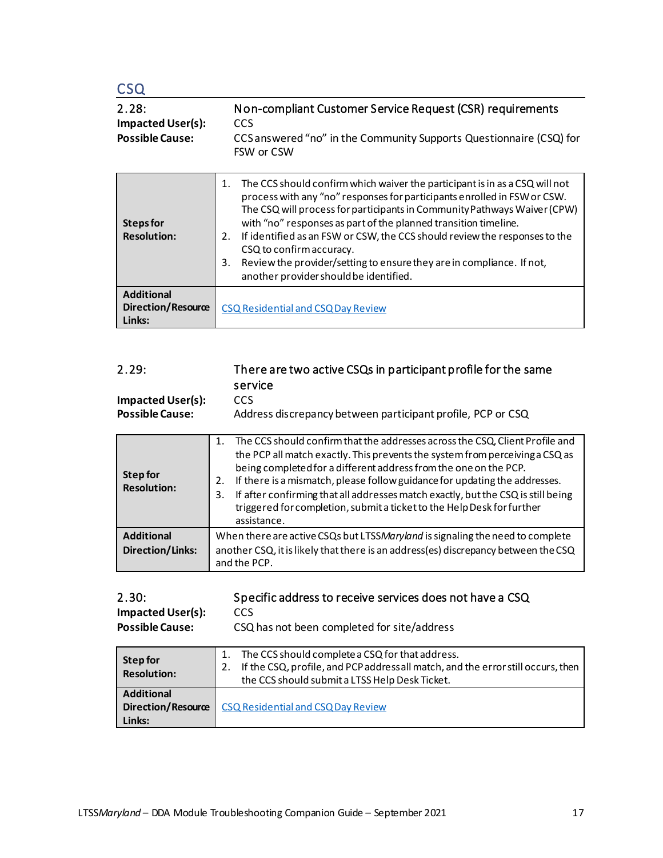<span id="page-16-1"></span><span id="page-16-0"></span>

| CSO<br>2.28:<br><b>Impacted User(s):</b><br><b>Possible Cause:</b> | Non-compliant Customer Service Request (CSR) requirements<br><b>CCS</b><br>CCS answered "no" in the Community Supports Questionnaire (CSQ) for<br>FSW or CSW                                                                                                                                                                                                                                                                                                                                                                                          |
|--------------------------------------------------------------------|-------------------------------------------------------------------------------------------------------------------------------------------------------------------------------------------------------------------------------------------------------------------------------------------------------------------------------------------------------------------------------------------------------------------------------------------------------------------------------------------------------------------------------------------------------|
| Steps for<br><b>Resolution:</b>                                    | The CCS should confirm which waiver the participant is in as a CSQ will not<br>1.<br>process with any "no" responses for participants enrolled in FSW or CSW.<br>The CSQ will process for participants in Community Pathways Waiver (CPW)<br>with "no" responses as part of the planned transition timeline.<br>If identified as an FSW or CSW, the CCS should review the responses to the<br>2.<br>CSQ to confirm accuracy.<br>3.<br>Review the provider/setting to ensure they are in compliance. If not,<br>another provider should be identified. |
| <b>Additional</b><br>Direction/Resource<br>Links:                  | CSQ Residential and CSQ Day Review                                                                                                                                                                                                                                                                                                                                                                                                                                                                                                                    |

<span id="page-16-2"></span>

| 2.29:<br><b>Impacted User(s):</b><br><b>Possible Cause:</b> | There are two active CSQs in participant profile for the same<br>service<br>CCS<br>Address discrepancy between participant profile, PCP or CSQ                                                                                                                                                                                                                                                                                                                                                                     |
|-------------------------------------------------------------|--------------------------------------------------------------------------------------------------------------------------------------------------------------------------------------------------------------------------------------------------------------------------------------------------------------------------------------------------------------------------------------------------------------------------------------------------------------------------------------------------------------------|
| <b>Step for</b><br><b>Resolution:</b>                       | The CCS should confirm that the addresses across the CSQ, Client Profile and<br>$1_{-}$<br>the PCP all match exactly. This prevents the system from perceiving a CSQ as<br>being completed for a different address from the one on the PCP.<br>If there is a mismatch, please follow guidance for updating the addresses.<br>2.<br>If after confirming that all addresses match exactly, but the CSQ is still being<br>3.<br>triggered for completion, submit a ticket to the Help Desk for further<br>assistance. |
| <b>Additional</b><br><b>Direction/Links:</b>                | When there are active CSQs but LTSSMaryland is signaling the need to complete<br>another CSQ, it is likely that there is an address(es) discrepancy between the CSQ                                                                                                                                                                                                                                                                                                                                                |

<span id="page-16-3"></span>

| 2.30:<br><b>Impacted User(s):</b><br><b>Possible Cause:</b> | Specific address to receive services does not have a CSQ<br>CCS<br>CSQ has not been completed for site/address                                                                              |
|-------------------------------------------------------------|---------------------------------------------------------------------------------------------------------------------------------------------------------------------------------------------|
| Step for<br><b>Resolution:</b>                              | The CCS should complete a CSQ for that address.<br>If the CSQ, profile, and PCP address all match, and the error still occurs, then<br>2.<br>the CCS should submit a LTSS Help Desk Ticket. |
| <b>Additional</b><br>Direction/Resource<br>Links:           | CSQ Residential and CSQ Day Review                                                                                                                                                          |

and the PCP.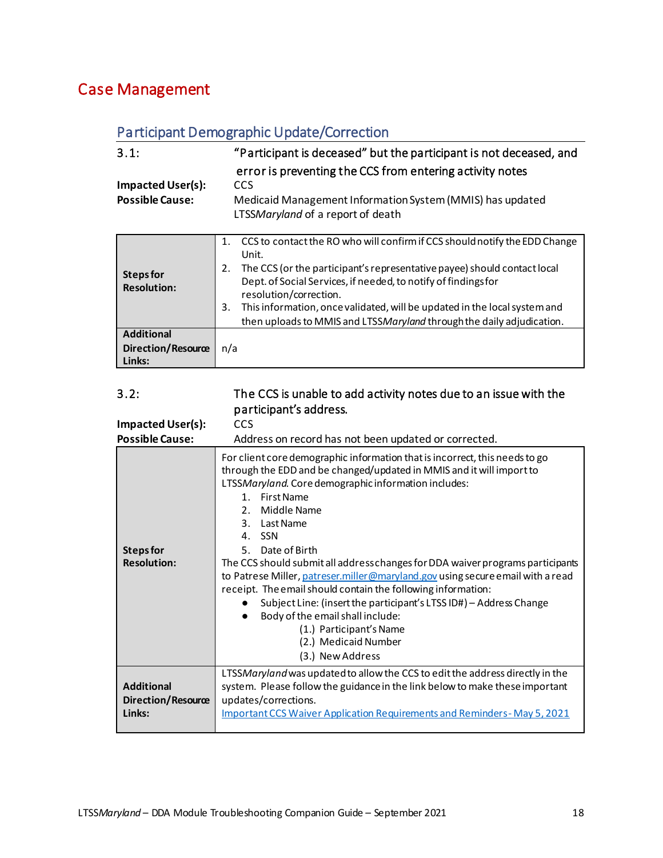### <span id="page-17-1"></span><span id="page-17-0"></span>Case Management

### Participant Demographic Update/Correction

<span id="page-17-3"></span><span id="page-17-2"></span>

| 3.1:                                               | "Participant is deceased" but the participant is not deceased, and                                                                                                                                                                                                                                                                                                                                                                  |
|----------------------------------------------------|-------------------------------------------------------------------------------------------------------------------------------------------------------------------------------------------------------------------------------------------------------------------------------------------------------------------------------------------------------------------------------------------------------------------------------------|
| <b>Impacted User(s):</b><br><b>Possible Cause:</b> | error is preventing the CCS from entering activity notes<br><b>CCS</b><br>Medicaid Management Information System (MMIS) has updated<br>LTSSMaryland of a report of death                                                                                                                                                                                                                                                            |
| Steps for<br><b>Resolution:</b>                    | CCS to contact the RO who will confirm if CCS should notify the EDD Change<br>1.<br>Unit.<br>The CCS (or the participant's representative payee) should contact local<br>2.<br>Dept. of Social Services, if needed, to notify of findings for<br>resolution/correction.<br>This information, once validated, will be updated in the local system and<br>3.<br>then uploads to MMIS and LTSSMaryland through the daily adjudication. |
| <b>Additional</b><br>Direction/Resource<br>Links:  | n/a                                                                                                                                                                                                                                                                                                                                                                                                                                 |

#### <span id="page-17-4"></span>3.2: The CCS is unable to add activity notes due to an issue with the participant's address.

| <b>Impacted User(s):</b>                                 | <b>CCS</b>                                                                                                                                                                                                                                                                                                                                                                                                                                                                                                                                                                                                                                                                                                                                          |
|----------------------------------------------------------|-----------------------------------------------------------------------------------------------------------------------------------------------------------------------------------------------------------------------------------------------------------------------------------------------------------------------------------------------------------------------------------------------------------------------------------------------------------------------------------------------------------------------------------------------------------------------------------------------------------------------------------------------------------------------------------------------------------------------------------------------------|
| <b>Possible Cause:</b>                                   | Address on record has not been updated or corrected.                                                                                                                                                                                                                                                                                                                                                                                                                                                                                                                                                                                                                                                                                                |
| Steps for<br><b>Resolution:</b>                          | For client core demographic information that is incorrect, this needs to go<br>through the EDD and be changed/updated in MMIS and it will import to<br>LTSSMaryland. Core demographic information includes:<br><b>First Name</b><br>$\mathbf{1}$<br>Middle Name<br>$\mathcal{P}$<br>3. Last Name<br>4. SSN<br>5. Date of Birth<br>The CCS should submit all address changes for DDA waiver programs participants<br>to Patrese Miller, patreser.miller@maryland.gov using secure email with a read<br>receipt. The email should contain the following information:<br>Subject Line: (insert the participant's LTSS ID#) - Address Change<br>Body of the email shall include:<br>(1.) Participant's Name<br>(2.) Medicaid Number<br>(3.) New Address |
| <b>Additional</b><br><b>Direction/Resource</b><br>Links: | LTSSMaryland was updated to allow the CCS to edit the address directly in the<br>system. Please follow the guidance in the link below to make these important<br>updates/corrections.<br><b>Important CCS Waiver Application Requirements and Reminders-May 5, 2021</b>                                                                                                                                                                                                                                                                                                                                                                                                                                                                             |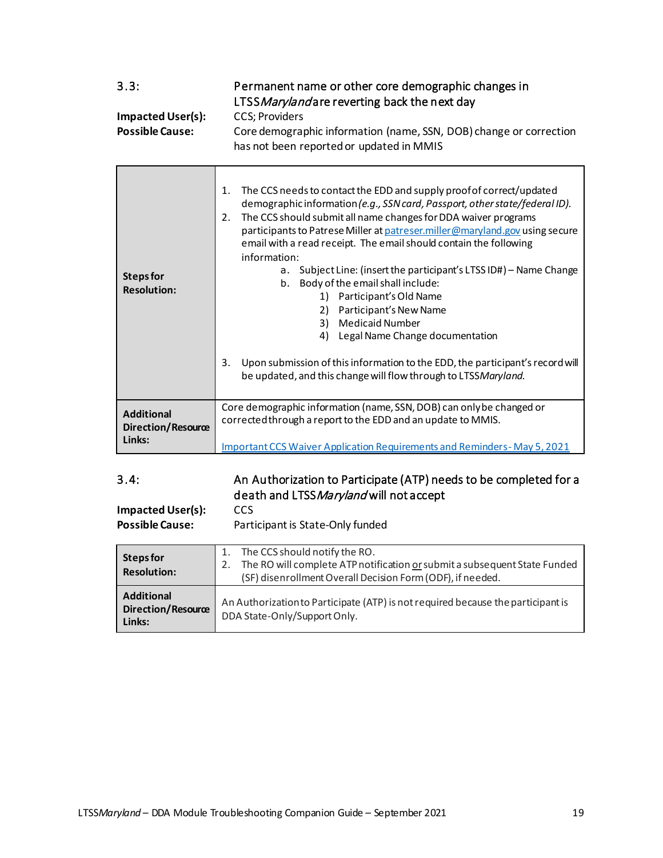<span id="page-18-0"></span>

| 3.3:<br><b>Impacted User(s):</b><br><b>Possible Cause:</b> | Permanent name or other core demographic changes in<br>LTSS Marylandare reverting back the next day<br><b>CCS</b> ; Providers<br>Core demographic information (name, SSN, DOB) change or correction<br>has not been reported or updated in MMIS                                                                                                                                                                                                                                                                                                                                                                                                                                                                                                                                                         |
|------------------------------------------------------------|---------------------------------------------------------------------------------------------------------------------------------------------------------------------------------------------------------------------------------------------------------------------------------------------------------------------------------------------------------------------------------------------------------------------------------------------------------------------------------------------------------------------------------------------------------------------------------------------------------------------------------------------------------------------------------------------------------------------------------------------------------------------------------------------------------|
| <b>Steps for</b><br><b>Resolution:</b>                     | The CCS needs to contact the EDD and supply proof of correct/updated<br>1.<br>demographic information (e.g., SSN card, Passport, other state/federal ID).<br>The CCS should submit all name changes for DDA waiver programs<br>2.<br>participants to Patrese Miller at patreser.miller@maryland.gov using secure<br>email with a read receipt. The email should contain the following<br>information:<br>Subject Line: (insert the participant's LTSS ID#) - Name Change<br>a.<br>Body of the email shall include:<br>b.<br>1) Participant's Old Name<br>2) Participant's New Name<br>3) Medicaid Number<br>4) Legal Name Change documentation<br>Upon submission of this information to the EDD, the participant's record will<br>3.<br>be updated, and this change will flow through to LTSSMaryland. |
| <b>Additional</b><br>Direction/Resource<br>Links:          | Core demographic information (name, SSN, DOB) can only be changed or<br>corrected through a report to the EDD and an update to MMIS.<br><b>Important CCS Waiver Application Requirements and Reminders-May 5, 2021</b>                                                                                                                                                                                                                                                                                                                                                                                                                                                                                                                                                                                  |

### <span id="page-18-1"></span>3.4: An Authorization to Participate (ATP) needs to be completed for a death and LTSS Maryland will not accept

**Impacted User(s):** CCS

**Possible Cause:** Participant is State-Only funded

| Steps for<br><b>Resolution:</b>                          | The CCS should notify the RO.<br>The RO will complete ATP notification or submit a subsequent State Funded<br>(SF) disenrollment Overall Decision Form (ODF), if needed. |
|----------------------------------------------------------|--------------------------------------------------------------------------------------------------------------------------------------------------------------------------|
| <b>Additional</b><br><b>Direction/Resource</b><br>Links: | An Authorization to Participate (ATP) is not required because the participant is<br>DDA State-Only/Support Only.                                                         |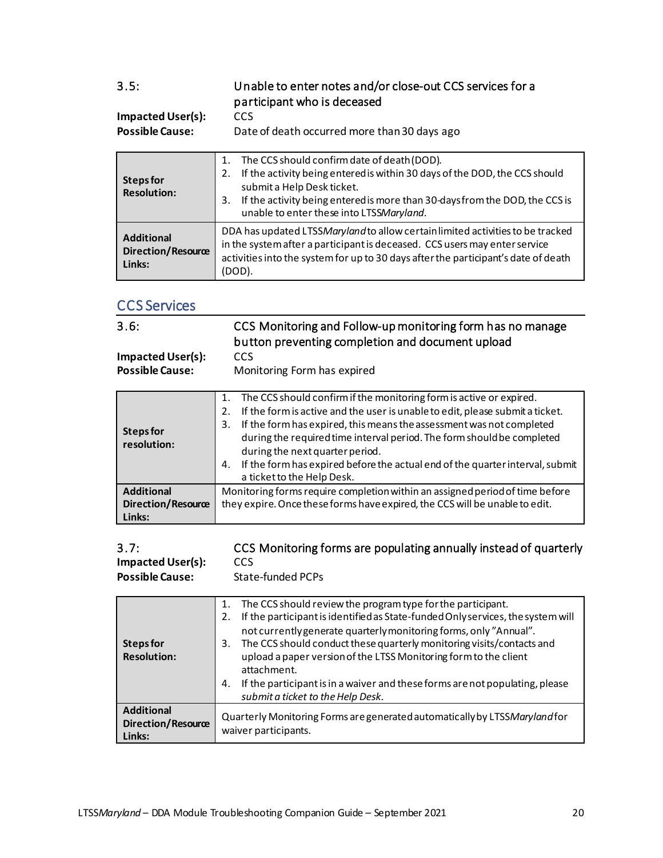### <span id="page-19-0"></span>3.5: Unable to enter notes and/or close-out CCS services for a participant who is deceased

#### **Impacted User(s):** CCS<br>**Possible Cause:** Date Date of death occurred more than 30 days ago

| Steps for<br><b>Resolution:</b>                          | The CCS should confirm date of death (DOD).<br>1.<br>If the activity being entered is within 30 days of the DOD, the CCS should<br>2.<br>submit a Help Desk ticket.<br>If the activity being entered is more than 30-days from the DOD, the CCS is<br>3.<br>unable to enter these into LTSSMaryland. |  |
|----------------------------------------------------------|------------------------------------------------------------------------------------------------------------------------------------------------------------------------------------------------------------------------------------------------------------------------------------------------------|--|
| <b>Additional</b><br><b>Direction/Resource</b><br>Links: | DDA has updated LTSSMaryland to allow certain limited activities to be tracked<br>in the system after a participant is deceased. CCS users may enter service<br>activities into the system for up to 30 days after the participant's date of death<br>(DOD).                                         |  |

#### <span id="page-19-1"></span>CCS Services

<span id="page-19-2"></span>

| 3.6:                     | CCS Monitoring and Follow-up monitoring form has no manage<br>button preventing completion and document upload |
|--------------------------|----------------------------------------------------------------------------------------------------------------|
| <b>Impacted User(s):</b> | <b>CCS</b>                                                                                                     |
| <b>Possible Cause:</b>   | Monitoring Form has expired                                                                                    |

| <b>Steps for</b><br>resolution: | The CCS should confirm if the monitoring form is active or expired.<br>1.<br>If the form is active and the user is unable to edit, please submit a ticket.<br>2.<br>If the form has expired, this means the assessment was not completed<br>3.<br>during the required time interval period. The form should be completed<br>during the next quarter period.<br>If the form has expired before the actual end of the quarter interval, submit<br>4. |  |
|---------------------------------|----------------------------------------------------------------------------------------------------------------------------------------------------------------------------------------------------------------------------------------------------------------------------------------------------------------------------------------------------------------------------------------------------------------------------------------------------|--|
|                                 | a ticket to the Help Desk.                                                                                                                                                                                                                                                                                                                                                                                                                         |  |
| <b>Additional</b>               | Monitoring forms require completion within an assigned period of time before                                                                                                                                                                                                                                                                                                                                                                       |  |
| <b>Direction/Resource</b>       | they expire. Once these forms have expired, the CCS will be unable to edit.                                                                                                                                                                                                                                                                                                                                                                        |  |
| Links:                          |                                                                                                                                                                                                                                                                                                                                                                                                                                                    |  |

<span id="page-19-3"></span>

| 3.7:                     | CCS Monitoring forms are populating annually instead of quarterly |
|--------------------------|-------------------------------------------------------------------|
| <b>Impacted User(s):</b> | CCS                                                               |

**Possible Cause:** State-funded PCPs

| Steps for<br><b>Resolution:</b>                   | The CCS should review the program type for the participant.<br>1.<br>If the participant is identified as State-funded Only services, the system will<br>2.<br>not currently generate quarterly monitoring forms, only "Annual".<br>The CCS should conduct these quarterly monitoring visits/contacts and<br>3.<br>upload a paper version of the LTSS Monitoring form to the client<br>attachment.<br>If the participant is in a waiver and these forms are not populating, please<br>4.<br>submit a ticket to the Help Desk. |
|---------------------------------------------------|------------------------------------------------------------------------------------------------------------------------------------------------------------------------------------------------------------------------------------------------------------------------------------------------------------------------------------------------------------------------------------------------------------------------------------------------------------------------------------------------------------------------------|
| <b>Additional</b><br>Direction/Resource<br>Links: | Quarterly Monitoring Forms are generated automatically by LTSSMaryland for<br>waiver participants.                                                                                                                                                                                                                                                                                                                                                                                                                           |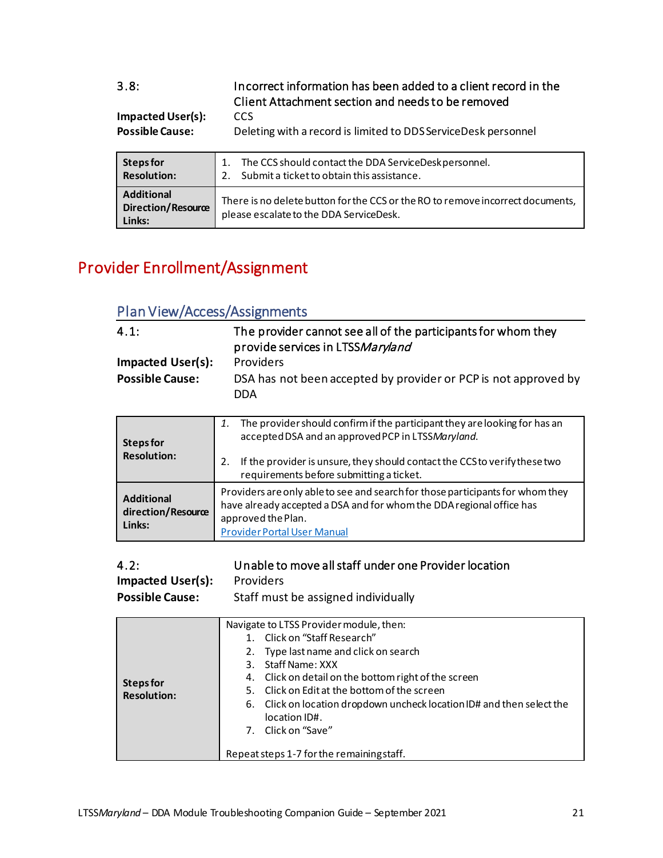<span id="page-20-0"></span>

| 3.8:<br><b>Impacted User(s):</b><br><b>Possible Cause:</b>                                                             | Incorrect information has been added to a client record in the<br>Client Attachment section and needs to be removed<br><b>CCS</b><br>Deleting with a record is limited to DDS ServiceDesk personnel |
|------------------------------------------------------------------------------------------------------------------------|-----------------------------------------------------------------------------------------------------------------------------------------------------------------------------------------------------|
| <b>Steps for</b><br><b>Resolution:</b>                                                                                 | The CCS should contact the DDA ServiceDesk personnel.<br>1.<br>Submit a ticket to obtain this assistance.<br>$2_{-}$                                                                                |
| <b>Additional</b><br>$D: \mathbb{R}^n \times \mathbb{R}^n \times \mathbb{R}^n \times \mathbb{R}^n \times \mathbb{R}^n$ | There is no delete button for the CCS or the RO to remove incorrect documents,                                                                                                                      |

please escalate to the DDA ServiceDesk.

# <span id="page-20-1"></span>Provider Enrollment/Assignment

**Direction/Resource** 

**Links:**

#### <span id="page-20-2"></span>Plan View/Access/Assignments

<span id="page-20-3"></span>

| 4.1:<br><b>Impacted User(s):</b><br><b>Possible Cause:</b> | The provider cannot see all of the participants for whom they<br>provide services in LTSSMaryland<br><b>Providers</b><br>DSA has not been accepted by provider or PCP is not approved by<br><b>DDA</b>                                                                |  |
|------------------------------------------------------------|-----------------------------------------------------------------------------------------------------------------------------------------------------------------------------------------------------------------------------------------------------------------------|--|
| <b>Steps for</b><br><b>Resolution:</b>                     | The provider should confirm if the participant they are looking for has an<br>1.<br>accepted DSA and an approved PCP in LTSSMaryland.<br>2.<br>If the provider is unsure, they should contact the CCS to verify these two<br>requirements before submitting a ticket. |  |
| <b>Additional</b><br>direction/Resource<br>Links:          | Providers are only able to see and search for those participants for whom they<br>have already accepted a DSA and for whom the DDA regional office has<br>approved the Plan.<br><b>Provider Portal User Manual</b>                                                    |  |

<span id="page-20-4"></span>

| 4.2:                               | Unable to move all staff under one Provider location |
|------------------------------------|------------------------------------------------------|
| <b>Impacted User(s):</b> Providers |                                                      |

| $\cdots$ put $\cdots$ to $\cdots$ (b) $\cdots$ | .                                   |
|------------------------------------------------|-------------------------------------|
| <b>Possible Cause:</b>                         | Staff must be assigned individually |

| 4. Click on detail on the bottom right of the screen<br>Steps for<br>5. Click on Edit at the bottom of the screen<br><b>Resolution:</b><br>6. Click on location dropdown uncheck location ID# and then select the<br>location ID#.<br>7. Click on "Save"<br>Repeat steps 1-7 for the remaining staff. |  | Navigate to LTSS Provider module, then:<br>1. Click on "Staff Research"<br>2. Type last name and click on search<br>3. Staff Name: XXX |
|-------------------------------------------------------------------------------------------------------------------------------------------------------------------------------------------------------------------------------------------------------------------------------------------------------|--|----------------------------------------------------------------------------------------------------------------------------------------|
|-------------------------------------------------------------------------------------------------------------------------------------------------------------------------------------------------------------------------------------------------------------------------------------------------------|--|----------------------------------------------------------------------------------------------------------------------------------------|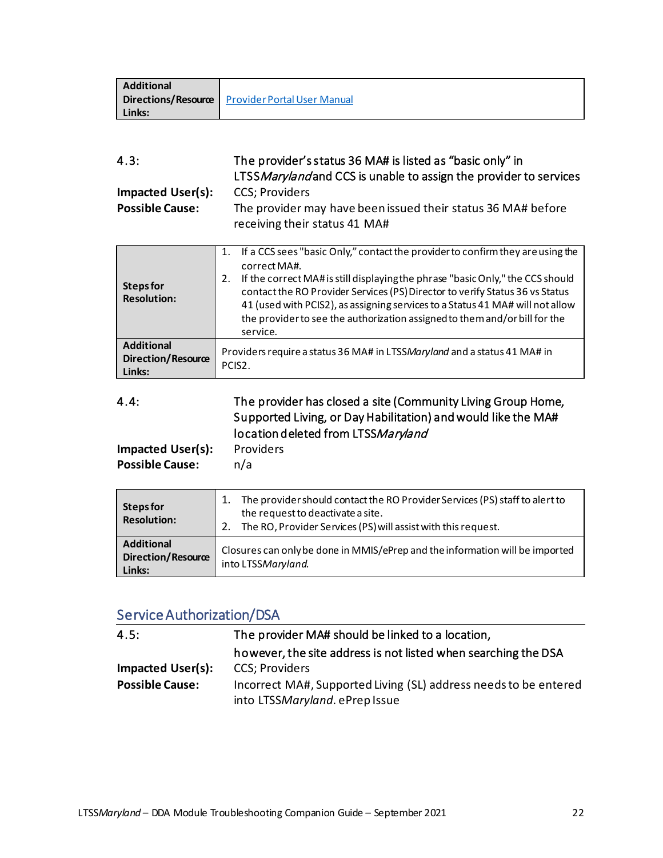| <b>Additional</b> |                                                        |
|-------------------|--------------------------------------------------------|
|                   | <b>Directions/Resource</b> Provider Portal User Manual |
| Links:            |                                                        |

<span id="page-21-0"></span>

| 4.3:                     | The provider's status 36 MA# is listed as "basic only" in<br>LTSS Maryland and CCS is unable to assign the provider to services |
|--------------------------|---------------------------------------------------------------------------------------------------------------------------------|
| <b>Impacted User(s):</b> | <b>CCS</b> ; Providers                                                                                                          |
| <b>Possible Cause:</b>   | The provider may have been issued their status 36 MA# before                                                                    |
|                          | receiving their status 41 MA#                                                                                                   |

| Steps for<br><b>Resolution:</b>                          | If a CCS sees "basic Only," contact the provider to confirm they are using the<br>1.<br>correct MA#.<br>If the correct MA# is still displaying the phrase "basic Only," the CCS should<br>2.<br>contact the RO Provider Services (PS) Director to verify Status 36 vs Status<br>41 (used with PCIS2), as assigning services to a Status 41 MA# will not allow<br>the provider to see the authorization assigned to them and/or bill for the<br>service. |
|----------------------------------------------------------|---------------------------------------------------------------------------------------------------------------------------------------------------------------------------------------------------------------------------------------------------------------------------------------------------------------------------------------------------------------------------------------------------------------------------------------------------------|
| <b>Additional</b><br><b>Direction/Resource</b><br>Links: | Providers require a status 36 MA# in LTSSMaryland and a status 41 MA# in<br>PCIS <sub>2</sub>                                                                                                                                                                                                                                                                                                                                                           |

<span id="page-21-1"></span>

| 4.4:              | The provider has closed a site (Community Living Group Home,  |
|-------------------|---------------------------------------------------------------|
|                   | Supported Living, or Day Habilitation) and would like the MA# |
|                   | location deleted from LTSSMaryland                            |
| Imnactod Ilsor(s) | <b>Providers</b>                                              |

| <b>Impacted User(s):</b> | Providers |  |
|--------------------------|-----------|--|
| <b>Possible Cause:</b>   | n/a       |  |

| Steps for<br><b>Resolution:</b>                          | The provider should contact the RO Provider Services (PS) staff to alert to<br>the request to deactivate a site.<br>The RO, Provider Services (PS) will assist with this request. |
|----------------------------------------------------------|-----------------------------------------------------------------------------------------------------------------------------------------------------------------------------------|
| <b>Additional</b><br><b>Direction/Resource</b><br>Links: | Closures can only be done in MMIS/ePrep and the information will be imported<br>into LTSSMaryland.                                                                                |

### <span id="page-21-2"></span>[Service Authorization/DSA](#page-7-3)

<span id="page-21-4"></span><span id="page-21-3"></span>

| 4.5:                     | The provider MA# should be linked to a location,                                                   |
|--------------------------|----------------------------------------------------------------------------------------------------|
|                          | however, the site address is not listed when searching the DSA                                     |
| <b>Impacted User(s):</b> | <b>CCS</b> ; Providers                                                                             |
| <b>Possible Cause:</b>   | Incorrect MA#, Supported Living (SL) address needs to be entered<br>into LTSSMaryland. ePrep Issue |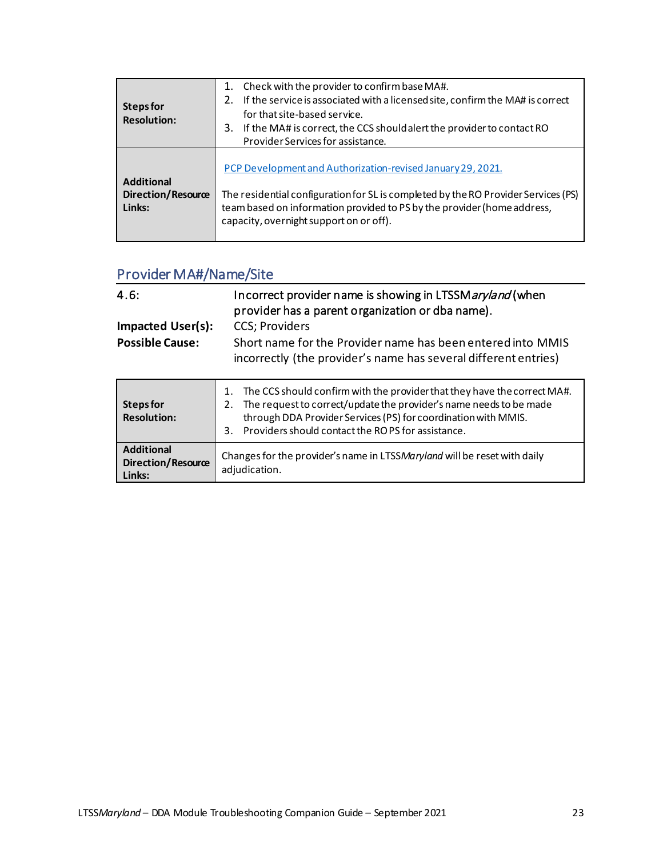| Steps for<br><b>Resolution:</b>                          | Check with the provider to confirm base MA#.<br>1.<br>If the service is associated with a licensed site, confirm the MA# is correct<br>2.<br>for that site-based service.<br>If the MA# is correct, the CCS should alert the provider to contact RO<br>3.<br>Provider Services for assistance. |
|----------------------------------------------------------|------------------------------------------------------------------------------------------------------------------------------------------------------------------------------------------------------------------------------------------------------------------------------------------------|
| <b>Additional</b><br><b>Direction/Resource</b><br>Links: | PCP Development and Authorization-revised January 29, 2021.<br>The residential configuration for SL is completed by the RO Provider Services (PS)<br>team based on information provided to PS by the provider (home address,<br>capacity, overnight support on or off).                        |

### <span id="page-22-0"></span>Provider MA#/Name/Site

<span id="page-22-1"></span>

| 4.6:<br><b>Impacted User(s):</b><br><b>Possible Cause:</b> | Incorrect provider name is showing in LTSSMaryland (when<br>provider has a parent organization or dba name).<br>CCS; Providers<br>Short name for the Provider name has been entered into MMIS<br>incorrectly (the provider's name has several different entries) |
|------------------------------------------------------------|------------------------------------------------------------------------------------------------------------------------------------------------------------------------------------------------------------------------------------------------------------------|
| Steps for<br><b>Resolution:</b>                            | The CCS should confirm with the provider that they have the correct MA#.<br>The request to correct/update the provider's name needs to be made<br>2.<br>through DDA Provider Services (PS) for coordination with MMIS.                                           |

|                                                   | Providers should contact the ROPS for assistance.                                         |
|---------------------------------------------------|-------------------------------------------------------------------------------------------|
| <b>Additional</b><br>Direction/Resource<br>Links: | Changes for the provider's name in LTSSMaryland will be reset with daily<br>adjudication. |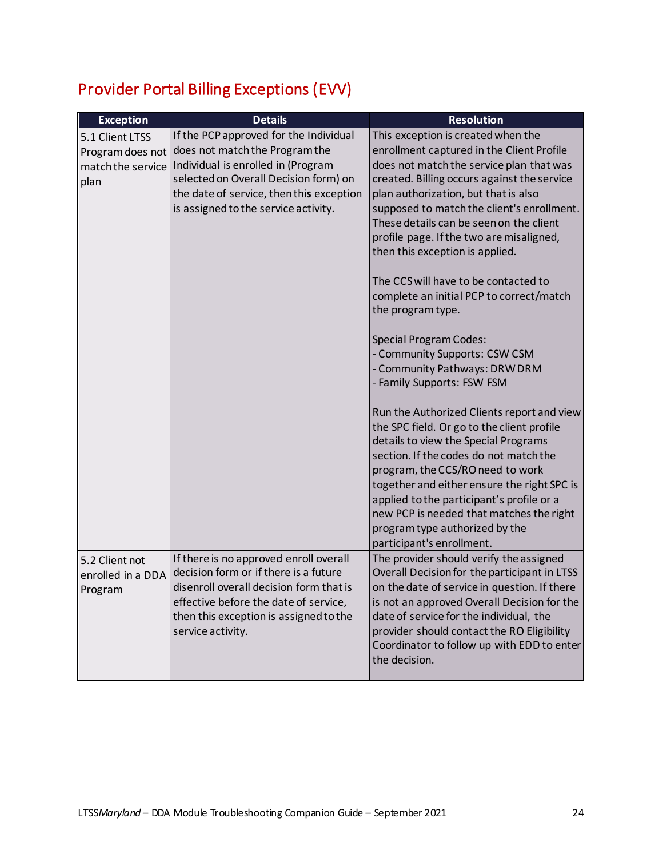# <span id="page-23-0"></span>Provider Portal Billing Exceptions (EVV)

<span id="page-23-2"></span><span id="page-23-1"></span>

| <b>Exception</b>  | <b>Details</b>                           | <b>Resolution</b>                                                                     |
|-------------------|------------------------------------------|---------------------------------------------------------------------------------------|
| 5.1 Client LTSS   | If the PCP approved for the Individual   | This exception is created when the                                                    |
| Program does not  | does not match the Program the           | enrollment captured in the Client Profile                                             |
| match the service | Individual is enrolled in (Program       | does not match the service plan that was                                              |
| plan              | selected on Overall Decision form) on    | created. Billing occurs against the service                                           |
|                   | the date of service, then this exception | plan authorization, but that is also                                                  |
|                   | is assigned to the service activity.     | supposed to match the client's enrollment.                                            |
|                   |                                          | These details can be seen on the client                                               |
|                   |                                          | profile page. If the two are misaligned,                                              |
|                   |                                          | then this exception is applied.                                                       |
|                   |                                          | The CCS will have to be contacted to                                                  |
|                   |                                          | complete an initial PCP to correct/match                                              |
|                   |                                          | the program type.                                                                     |
|                   |                                          |                                                                                       |
|                   |                                          | <b>Special Program Codes:</b>                                                         |
|                   |                                          | - Community Supports: CSW CSM                                                         |
|                   |                                          | - Community Pathways: DRW DRM                                                         |
|                   |                                          | - Family Supports: FSW FSM                                                            |
|                   |                                          |                                                                                       |
|                   |                                          | Run the Authorized Clients report and view                                            |
|                   |                                          | the SPC field. Or go to the client profile                                            |
|                   |                                          | details to view the Special Programs                                                  |
|                   |                                          | section. If the codes do not match the                                                |
|                   |                                          | program, the CCS/RO need to work                                                      |
|                   |                                          | together and either ensure the right SPC is                                           |
|                   |                                          | applied to the participant's profile or a<br>new PCP is needed that matches the right |
|                   |                                          | program type authorized by the                                                        |
|                   |                                          | participant's enrollment.                                                             |
| 5.2 Client not    | If there is no approved enroll overall   | The provider should verify the assigned                                               |
| enrolled in a DDA | decision form or if there is a future    | Overall Decision for the participant in LTSS                                          |
| Program           | disenroll overall decision form that is  | on the date of service in question. If there                                          |
|                   | effective before the date of service,    | is not an approved Overall Decision for the                                           |
|                   | then this exception is assigned to the   | date of service for the individual, the                                               |
|                   | service activity.                        | provider should contact the RO Eligibility                                            |
|                   |                                          | Coordinator to follow up with EDD to enter                                            |
|                   |                                          | the decision.                                                                         |
|                   |                                          |                                                                                       |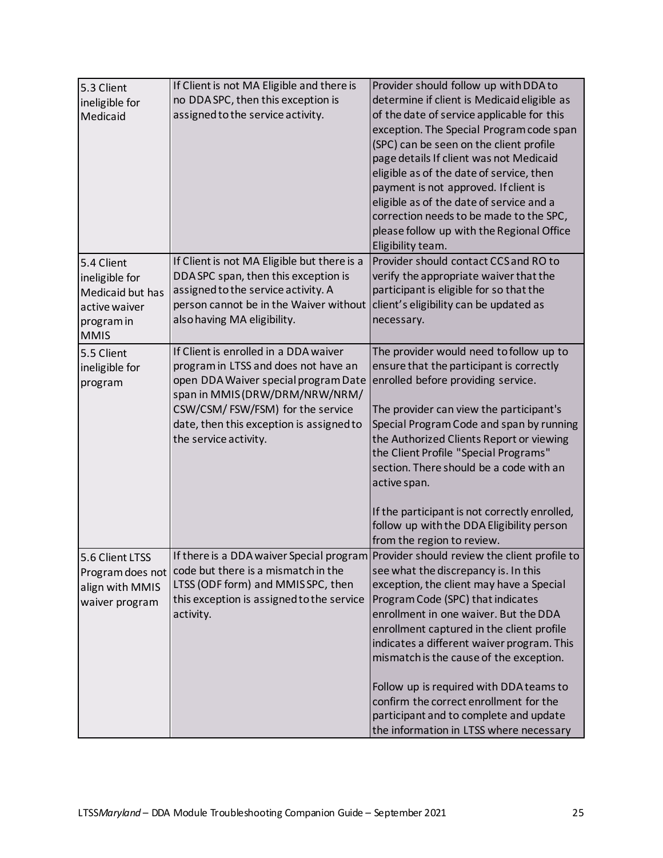<span id="page-24-3"></span><span id="page-24-2"></span><span id="page-24-1"></span><span id="page-24-0"></span>

| 5.3 Client       | If Client is not MA Eligible and there is   | Provider should follow up with DDA to                                                 |
|------------------|---------------------------------------------|---------------------------------------------------------------------------------------|
| ineligible for   | no DDA SPC, then this exception is          | determine if client is Medicaid eligible as                                           |
| Medicaid         | assigned to the service activity.           | of the date of service applicable for this                                            |
|                  |                                             | exception. The Special Program code span                                              |
|                  |                                             | (SPC) can be seen on the client profile                                               |
|                  |                                             | page details If client was not Medicaid                                               |
|                  |                                             | eligible as of the date of service, then<br>payment is not approved. If client is     |
|                  |                                             | eligible as of the date of service and a                                              |
|                  |                                             | correction needs to be made to the SPC,                                               |
|                  |                                             | please follow up with the Regional Office                                             |
|                  |                                             | Eligibility team.                                                                     |
| 5.4 Client       | If Client is not MA Eligible but there is a | Provider should contact CCS and RO to                                                 |
| ineligible for   | DDA SPC span, then this exception is        | verify the appropriate waiver that the                                                |
| Medicaid but has | assigned to the service activity. A         | participant is eligible for so that the                                               |
| active waiver    | person cannot be in the Waiver without      | client's eligibility can be updated as                                                |
| program in       | also having MA eligibility.                 | necessary.                                                                            |
| <b>MMIS</b>      |                                             |                                                                                       |
| 5.5 Client       | If Client is enrolled in a DDA waiver       | The provider would need to follow up to                                               |
| ineligible for   | program in LTSS and does not have an        | ensure that the participant is correctly                                              |
| program          | open DDA Waiver special program Date        | enrolled before providing service.                                                    |
|                  | span in MMIS (DRW/DRM/NRW/NRM/              |                                                                                       |
|                  | CSW/CSM/FSW/FSM) for the service            | The provider can view the participant's                                               |
|                  | date, then this exception is assigned to    | Special Program Code and span by running                                              |
|                  | the service activity.                       | the Authorized Clients Report or viewing                                              |
|                  |                                             | the Client Profile "Special Programs"                                                 |
|                  |                                             | section. There should be a code with an                                               |
|                  |                                             | active span.                                                                          |
|                  |                                             | If the participant is not correctly enrolled,                                         |
|                  |                                             | follow up with the DDA Eligibility person                                             |
|                  |                                             | from the region to review.                                                            |
| 5.6 Client LTSS  |                                             | If there is a DDA waiver Special program Provider should review the client profile to |
| Program does not | code but there is a mismatch in the         | see what the discrepancy is. In this                                                  |
| align with MMIS  | LTSS (ODF form) and MMISSPC, then           | exception, the client may have a Special                                              |
| waiver program   | this exception is assigned to the service   | Program Code (SPC) that indicates                                                     |
|                  | activity.                                   | enrollment in one waiver. But the DDA                                                 |
|                  |                                             | enrollment captured in the client profile                                             |
|                  |                                             | indicates a different waiver program. This                                            |
|                  |                                             | mismatch is the cause of the exception.                                               |
|                  |                                             | Follow up is required with DDA teams to                                               |
|                  |                                             | confirm the correct enrollment for the                                                |
|                  |                                             | participant and to complete and update                                                |
|                  |                                             | the information in LTSS where necessary                                               |
|                  |                                             |                                                                                       |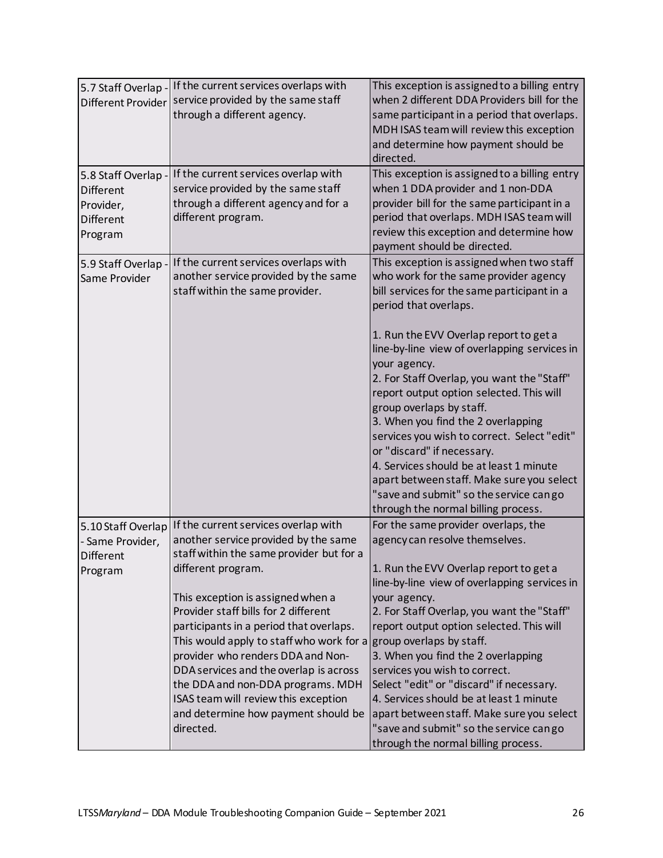<span id="page-25-3"></span><span id="page-25-2"></span><span id="page-25-1"></span><span id="page-25-0"></span>

| 5.7 Staff Overlap - | If the current services overlaps with                             | This exception is assigned to a billing entry |
|---------------------|-------------------------------------------------------------------|-----------------------------------------------|
| Different Provider  | service provided by the same staff                                | when 2 different DDA Providers bill for the   |
|                     | through a different agency.                                       | same participant in a period that overlaps.   |
|                     |                                                                   | MDH ISAS team will review this exception      |
|                     |                                                                   | and determine how payment should be           |
|                     |                                                                   | directed.                                     |
| 5.8 Staff Overlap - | If the current services overlap with                              | This exception is assigned to a billing entry |
| <b>Different</b>    | service provided by the same staff                                | when 1 DDA provider and 1 non-DDA             |
| Provider,           | through a different agency and for a                              | provider bill for the same participant in a   |
| <b>Different</b>    | different program.                                                | period that overlaps. MDH ISAS team will      |
| Program             |                                                                   | review this exception and determine how       |
|                     |                                                                   | payment should be directed.                   |
| 5.9 Staff Overlap - | If the current services overlaps with                             | This exception is assigned when two staff     |
| Same Provider       | another service provided by the same                              | who work for the same provider agency         |
|                     | staff within the same provider.                                   | bill services for the same participant in a   |
|                     |                                                                   | period that overlaps.                         |
|                     |                                                                   | 1. Run the EVV Overlap report to get a        |
|                     |                                                                   | line-by-line view of overlapping services in  |
|                     |                                                                   | your agency.                                  |
|                     |                                                                   | 2. For Staff Overlap, you want the "Staff"    |
|                     |                                                                   | report output option selected. This will      |
|                     |                                                                   | group overlaps by staff.                      |
|                     |                                                                   | 3. When you find the 2 overlapping            |
|                     |                                                                   | services you wish to correct. Select "edit"   |
|                     |                                                                   | or "discard" if necessary.                    |
|                     |                                                                   | 4. Services should be at least 1 minute       |
|                     |                                                                   | apart between staff. Make sure you select     |
|                     |                                                                   | "save and submit" so the service cango        |
|                     |                                                                   | through the normal billing process.           |
| 5.10 Staff Overlap  | If the current services overlap with                              | For the same provider overlaps, the           |
| - Same Provider,    | another service provided by the same                              | agency can resolve themselves.                |
| <b>Different</b>    | staff within the same provider but for a                          |                                               |
| Program             | different program.                                                | 1. Run the EVV Overlap report to get a        |
|                     |                                                                   | line-by-line view of overlapping services in  |
|                     | This exception is assigned when a                                 | your agency.                                  |
|                     | Provider staff bills for 2 different                              | 2. For Staff Overlap, you want the "Staff"    |
|                     | participants in a period that overlaps.                           | report output option selected. This will      |
|                     | This would apply to staff who work for a group overlaps by staff. |                                               |
|                     | provider who renders DDA and Non-                                 | 3. When you find the 2 overlapping            |
|                     | DDA services and the overlap is across                            | services you wish to correct.                 |
|                     | the DDA and non-DDA programs. MDH                                 | Select "edit" or "discard" if necessary.      |
|                     | ISAS team will review this exception                              | 4. Services should be at least 1 minute       |
|                     | and determine how payment should be                               | apart between staff. Make sure you select     |
|                     | directed.                                                         | "save and submit" so the service cango        |
|                     |                                                                   | through the normal billing process.           |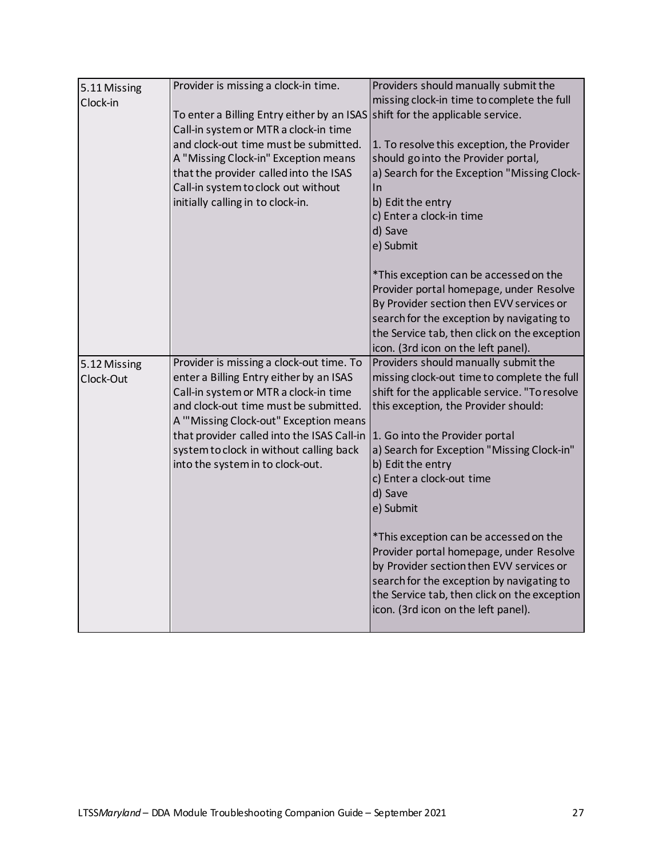<span id="page-26-1"></span><span id="page-26-0"></span>

| 5.11 Missing | Provider is missing a clock-in time.       | Providers should manually submit the                                                |
|--------------|--------------------------------------------|-------------------------------------------------------------------------------------|
| Clock-in     |                                            | missing clock-in time to complete the full                                          |
|              | To enter a Billing Entry either by an ISAS | shift for the applicable service.                                                   |
|              | Call-in system or MTR a clock-in time      |                                                                                     |
|              | and clock-out time must be submitted.      | 1. To resolve this exception, the Provider                                          |
|              | A "Missing Clock-in" Exception means       | should go into the Provider portal,                                                 |
|              | that the provider called into the ISAS     | a) Search for the Exception "Missing Clock-                                         |
|              | Call-in system to clock out without        | In                                                                                  |
|              | initially calling in to clock-in.          | b) Edit the entry                                                                   |
|              |                                            | c) Enter a clock-in time                                                            |
|              |                                            | d) Save                                                                             |
|              |                                            | e) Submit                                                                           |
|              |                                            |                                                                                     |
|              |                                            | *This exception can be accessed on the                                              |
|              |                                            | Provider portal homepage, under Resolve                                             |
|              |                                            | By Provider section then EVV services or                                            |
|              |                                            | search for the exception by navigating to                                           |
|              |                                            | the Service tab, then click on the exception                                        |
|              |                                            | icon. (3rd icon on the left panel).                                                 |
| 5.12 Missing | Provider is missing a clock-out time. To   | Providers should manually submit the                                                |
| Clock-Out    | enter a Billing Entry either by an ISAS    | missing clock-out time to complete the full                                         |
|              | Call-in system or MTR a clock-in time      | shift for the applicable service. "To resolve                                       |
|              | and clock-out time must be submitted.      | this exception, the Provider should:                                                |
|              | A "Missing Clock-out" Exception means      |                                                                                     |
|              | that provider called into the ISAS Call-in | 1. Go into the Provider portal                                                      |
|              | system to clock in without calling back    | a) Search for Exception "Missing Clock-in"                                          |
|              | into the system in to clock-out.           | b) Edit the entry                                                                   |
|              |                                            | c) Enter a clock-out time                                                           |
|              |                                            | d) Save                                                                             |
|              |                                            |                                                                                     |
|              |                                            | e) Submit                                                                           |
|              |                                            |                                                                                     |
|              |                                            | *This exception can be accessed on the                                              |
|              |                                            |                                                                                     |
|              |                                            | Provider portal homepage, under Resolve                                             |
|              |                                            | by Provider section then EVV services or                                            |
|              |                                            | search for the exception by navigating to                                           |
|              |                                            | the Service tab, then click on the exception<br>icon. (3rd icon on the left panel). |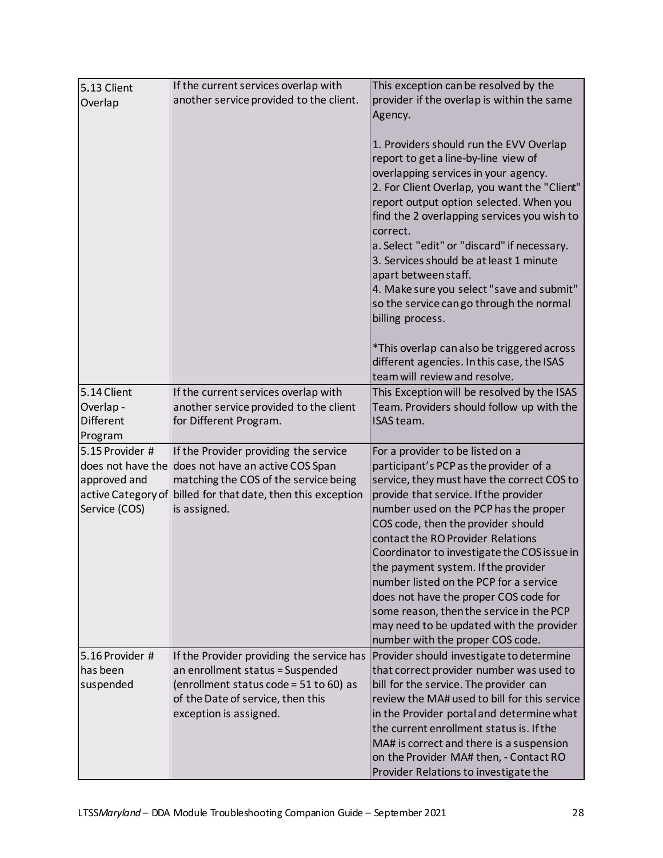<span id="page-27-3"></span><span id="page-27-2"></span><span id="page-27-1"></span><span id="page-27-0"></span>

| 5.13 Client        | If the current services overlap with      | This exception can be resolved by the        |
|--------------------|-------------------------------------------|----------------------------------------------|
|                    | another service provided to the client.   | provider if the overlap is within the same   |
| Overlap            |                                           | Agency.                                      |
|                    |                                           |                                              |
|                    |                                           | 1. Providers should run the EVV Overlap      |
|                    |                                           | report to get a line-by-line view of         |
|                    |                                           |                                              |
|                    |                                           | overlapping services in your agency.         |
|                    |                                           | 2. For Client Overlap, you want the "Client" |
|                    |                                           | report output option selected. When you      |
|                    |                                           | find the 2 overlapping services you wish to  |
|                    |                                           | correct.                                     |
|                    |                                           | a. Select "edit" or "discard" if necessary.  |
|                    |                                           | 3. Services should be at least 1 minute      |
|                    |                                           | apart between staff.                         |
|                    |                                           | 4. Make sure you select "save and submit"    |
|                    |                                           | so the service cango through the normal      |
|                    |                                           | billing process.                             |
|                    |                                           |                                              |
|                    |                                           | *This overlap can also be triggered across   |
|                    |                                           | different agencies. In this case, the ISAS   |
|                    |                                           | team will review and resolve.                |
| 5.14 Client        | If the current services overlap with      | This Exception will be resolved by the ISAS  |
| Overlap-           | another service provided to the client    | Team. Providers should follow up with the    |
| Different          | for Different Program.                    | ISAS team.                                   |
| Program            |                                           |                                              |
| 5.15 Provider #    | If the Provider providing the service     | For a provider to be listed on a             |
| does not have the  | does not have an active COS Span          | participant's PCP as the provider of a       |
| approved and       | matching the COS of the service being     | service, they must have the correct COS to   |
| active Category of | billed for that date, then this exception | provide that service. If the provider        |
| Service (COS)      | is assigned.                              | number used on the PCP has the proper        |
|                    |                                           | COS code, then the provider should           |
|                    |                                           | contact the RO Provider Relations            |
|                    |                                           | Coordinator to investigate the COS issue in  |
|                    |                                           |                                              |
|                    |                                           | the payment system. If the provider          |
|                    |                                           | number listed on the PCP for a service       |
|                    |                                           | does not have the proper COS code for        |
|                    |                                           | some reason, then the service in the PCP     |
|                    |                                           | may need to be updated with the provider     |
|                    |                                           | number with the proper COS code.             |
| 5.16 Provider #    | If the Provider providing the service has | Provider should investigate to determine     |
| has been           | an enrollment status = Suspended          | that correct provider number was used to     |
| suspended          | (enrollment status code = 51 to 60) as    | bill for the service. The provider can       |
|                    | of the Date of service, then this         | review the MA# used to bill for this service |
|                    | exception is assigned.                    | in the Provider portal and determine what    |
|                    |                                           | the current enrollment status is. If the     |
|                    |                                           | MA# is correct and there is a suspension     |
|                    |                                           | on the Provider MA# then, - Contact RO       |
|                    |                                           | Provider Relations to investigate the        |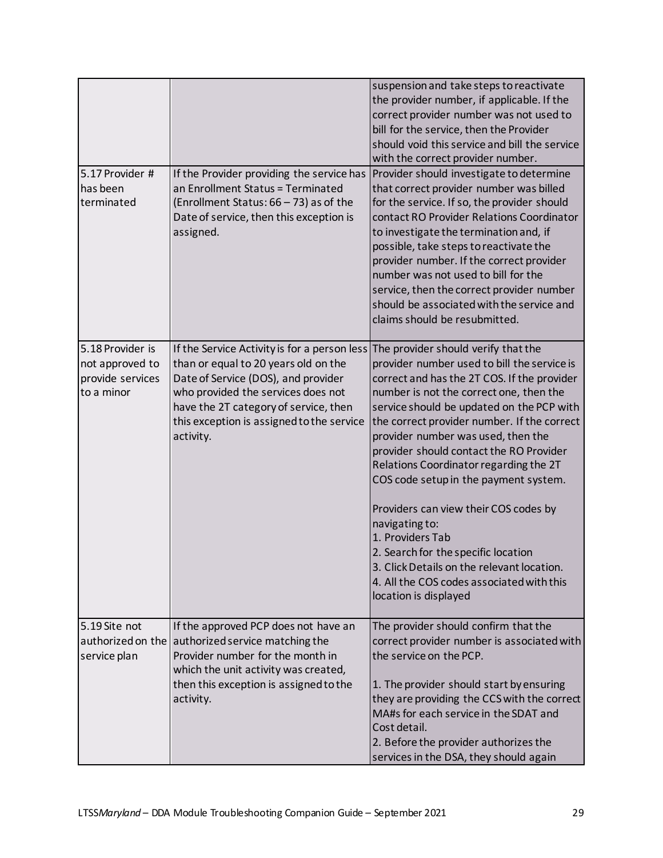<span id="page-28-2"></span><span id="page-28-1"></span><span id="page-28-0"></span>

| 5.17 Provider #<br>has been<br>terminated                             | If the Provider providing the service has<br>an Enrollment Status = Terminated<br>(Enrollment Status: 66 - 73) as of the<br>Date of service, then this exception is<br>assigned.                                                                                     | suspension and take steps to reactivate<br>the provider number, if applicable. If the<br>correct provider number was not used to<br>bill for the service, then the Provider<br>should void this service and bill the service<br>with the correct provider number.<br>Provider should investigate to determine<br>that correct provider number was billed<br>for the service. If so, the provider should<br>contact RO Provider Relations Coordinator<br>to investigate the termination and, if<br>possible, take steps to reactivate the                                                                                                                                               |
|-----------------------------------------------------------------------|----------------------------------------------------------------------------------------------------------------------------------------------------------------------------------------------------------------------------------------------------------------------|----------------------------------------------------------------------------------------------------------------------------------------------------------------------------------------------------------------------------------------------------------------------------------------------------------------------------------------------------------------------------------------------------------------------------------------------------------------------------------------------------------------------------------------------------------------------------------------------------------------------------------------------------------------------------------------|
|                                                                       |                                                                                                                                                                                                                                                                      | provider number. If the correct provider<br>number was not used to bill for the<br>service, then the correct provider number<br>should be associated with the service and<br>claims should be resubmitted.                                                                                                                                                                                                                                                                                                                                                                                                                                                                             |
| 5.18 Provider is<br>not approved to<br>provide services<br>to a minor | If the Service Activity is for a person less<br>than or equal to 20 years old on the<br>Date of Service (DOS), and provider<br>who provided the services does not<br>have the 2T category of service, then<br>this exception is assigned to the service<br>activity. | The provider should verify that the<br>provider number used to bill the service is<br>correct and has the 2T COS. If the provider<br>number is not the correct one, then the<br>service should be updated on the PCP with<br>the correct provider number. If the correct<br>provider number was used, then the<br>provider should contact the RO Provider<br>Relations Coordinator regarding the 2T<br>COS code setup in the payment system.<br>Providers can view their COS codes by<br>navigating to:<br>1. Providers Tab<br>2. Search for the specific location<br>3. Click Details on the relevant location.<br>4. All the COS codes associated with this<br>location is displayed |
| 5.19 Site not<br>authorized on the<br>service plan                    | If the approved PCP does not have an<br>authorized service matching the<br>Provider number for the month in<br>which the unit activity was created,<br>then this exception is assigned to the<br>activity.                                                           | The provider should confirm that the<br>correct provider number is associated with<br>the service on the PCP.<br>1. The provider should start by ensuring<br>they are providing the CCS with the correct<br>MA#s for each service in the SDAT and<br>Cost detail.<br>2. Before the provider authorizes the<br>services in the DSA, they should again                                                                                                                                                                                                                                                                                                                                   |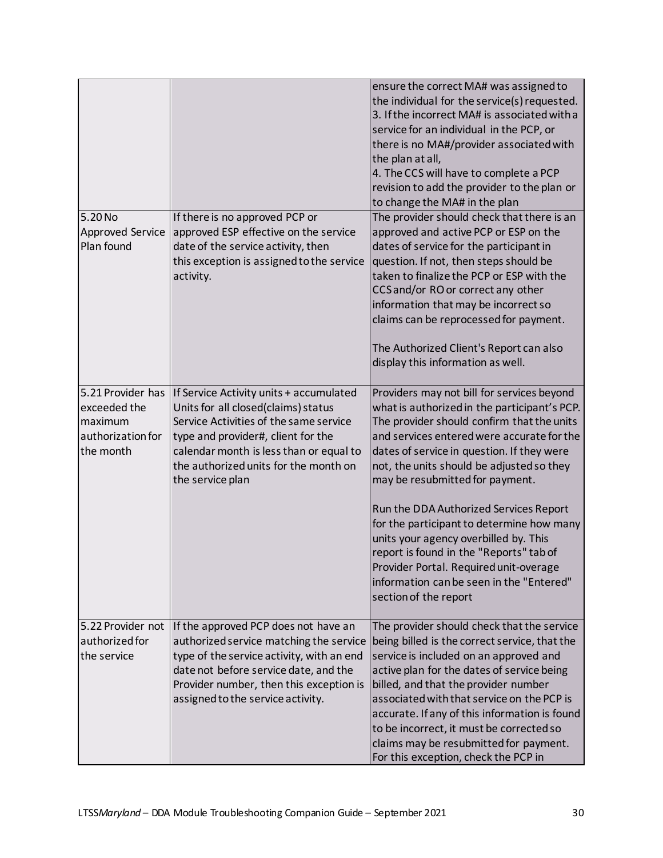<span id="page-29-2"></span><span id="page-29-1"></span><span id="page-29-0"></span>

|                                                                                |                                                                                                                                                                                                                                                                        | ensure the correct MA# was assigned to<br>the individual for the service(s) requested.<br>3. If the incorrect MA# is associated with a<br>service for an individual in the PCP, or<br>there is no MA#/provider associated with<br>the plan at all,<br>4. The CCS will have to complete a PCP<br>revision to add the provider to the plan or<br>to change the MA# in the plan                                                                             |
|--------------------------------------------------------------------------------|------------------------------------------------------------------------------------------------------------------------------------------------------------------------------------------------------------------------------------------------------------------------|----------------------------------------------------------------------------------------------------------------------------------------------------------------------------------------------------------------------------------------------------------------------------------------------------------------------------------------------------------------------------------------------------------------------------------------------------------|
| 5.20 No                                                                        | If there is no approved PCP or                                                                                                                                                                                                                                         | The provider should check that there is an                                                                                                                                                                                                                                                                                                                                                                                                               |
| <b>Approved Service</b>                                                        | approved ESP effective on the service                                                                                                                                                                                                                                  | approved and active PCP or ESP on the                                                                                                                                                                                                                                                                                                                                                                                                                    |
| Plan found                                                                     | date of the service activity, then<br>this exception is assigned to the service                                                                                                                                                                                        | dates of service for the participant in<br>question. If not, then steps should be                                                                                                                                                                                                                                                                                                                                                                        |
|                                                                                | activity.                                                                                                                                                                                                                                                              | taken to finalize the PCP or ESP with the                                                                                                                                                                                                                                                                                                                                                                                                                |
|                                                                                |                                                                                                                                                                                                                                                                        | CCS and/or RO or correct any other                                                                                                                                                                                                                                                                                                                                                                                                                       |
|                                                                                |                                                                                                                                                                                                                                                                        | information that may be incorrect so                                                                                                                                                                                                                                                                                                                                                                                                                     |
|                                                                                |                                                                                                                                                                                                                                                                        | claims can be reprocessed for payment.                                                                                                                                                                                                                                                                                                                                                                                                                   |
|                                                                                |                                                                                                                                                                                                                                                                        | The Authorized Client's Report can also                                                                                                                                                                                                                                                                                                                                                                                                                  |
|                                                                                |                                                                                                                                                                                                                                                                        | display this information as well.                                                                                                                                                                                                                                                                                                                                                                                                                        |
|                                                                                |                                                                                                                                                                                                                                                                        |                                                                                                                                                                                                                                                                                                                                                                                                                                                          |
| 5.21 Provider has<br>exceeded the<br>maximum<br>authorization for<br>the month | If Service Activity units + accumulated<br>Units for all closed(claims) status<br>Service Activities of the same service<br>type and provider#, client for the<br>calendar month is less than or equal to<br>the authorized units for the month on<br>the service plan | Providers may not bill for services beyond<br>what is authorized in the participant's PCP.<br>The provider should confirm that the units<br>and services entered were accurate for the<br>dates of service in question. If they were<br>not, the units should be adjusted so they<br>may be resubmitted for payment.<br>Run the DDA Authorized Services Report<br>for the participant to determine how many                                              |
|                                                                                |                                                                                                                                                                                                                                                                        | units your agency overbilled by. This<br>report is found in the "Reports" tab of<br>Provider Portal. Required unit-overage<br>information can be seen in the "Entered"<br>section of the report                                                                                                                                                                                                                                                          |
| 5.22 Provider not<br>authorized for<br>the service                             | If the approved PCP does not have an<br>authorized service matching the service<br>type of the service activity, with an end<br>date not before service date, and the<br>Provider number, then this exception is<br>assigned to the service activity.                  | The provider should check that the service<br>being billed is the correct service, that the<br>service is included on an approved and<br>active plan for the dates of service being<br>billed, and that the provider number<br>associated with that service on the PCP is<br>accurate. If any of this information is found<br>to be incorrect, it must be corrected so<br>claims may be resubmitted for payment.<br>For this exception, check the PCP in |